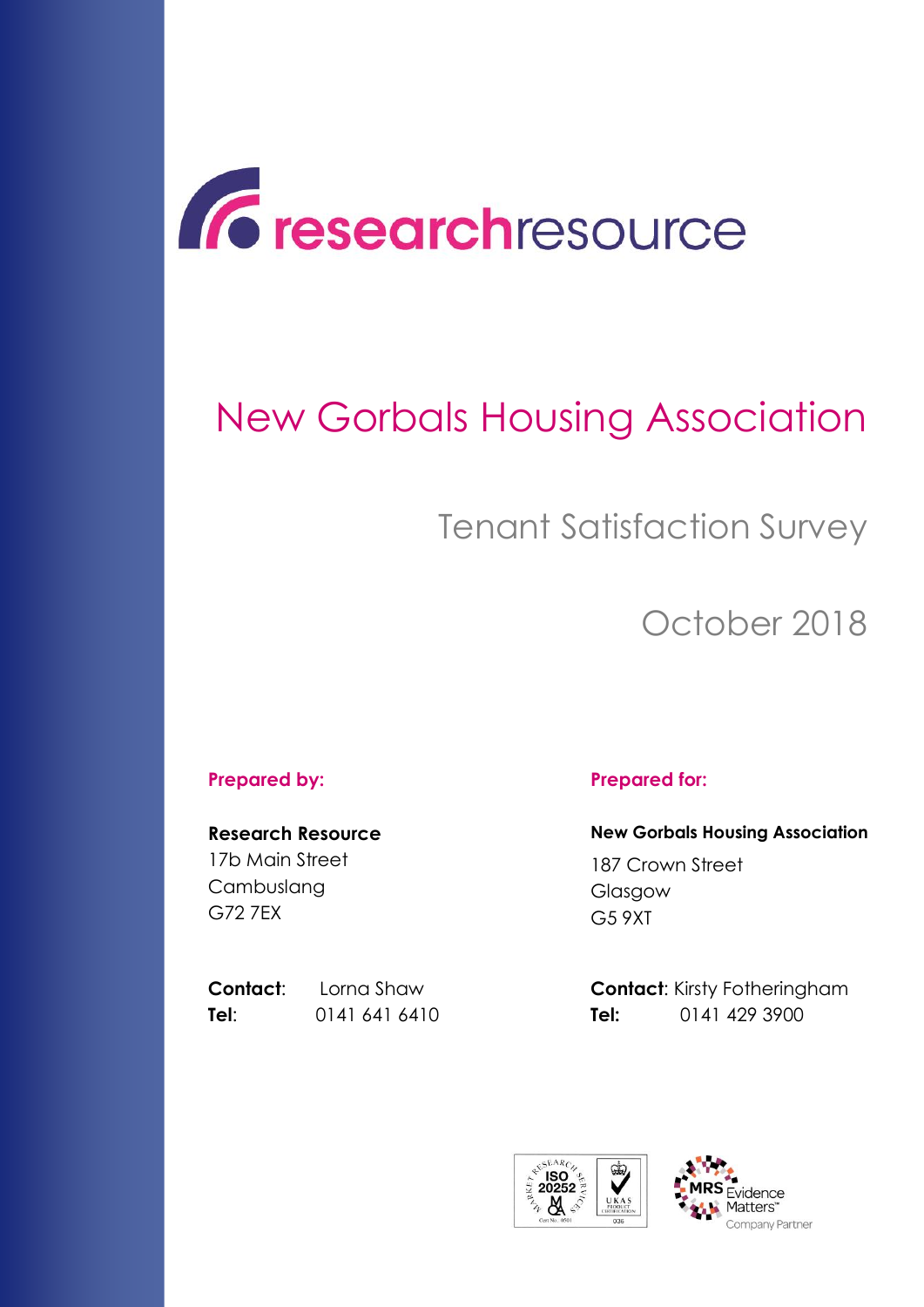

# New Gorbals Housing Association

# Tenant Satisfaction Survey

October 2018

#### **Prepared by: Prepared for:**

**Research Resource** 17b Main Street Cambuslang G72 7EX

**Tel**: 0141 641 6410 **Tel:** 0141 429 3900

**New Gorbals Housing Association** 187 Crown Street Glasgow

G5 9XT

**Contact:** Lorna Shaw **Contact:** Kirsty Fotheringham



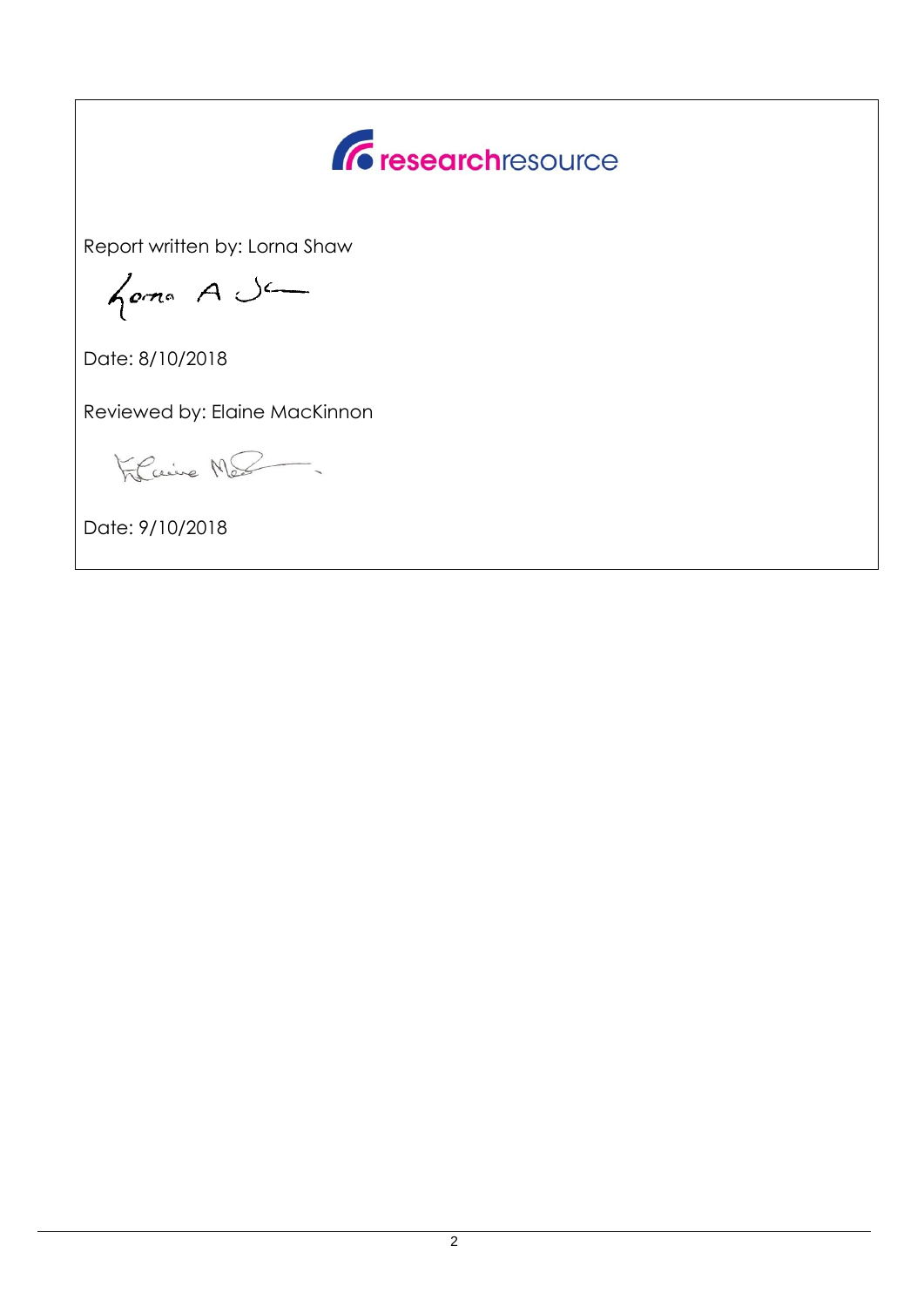

Report written by: Lorna Shaw

forma A Ja

Date: 8/10/2018

Reviewed by: Elaine MacKinnon

Filcaire Me

Date: 9/10/2018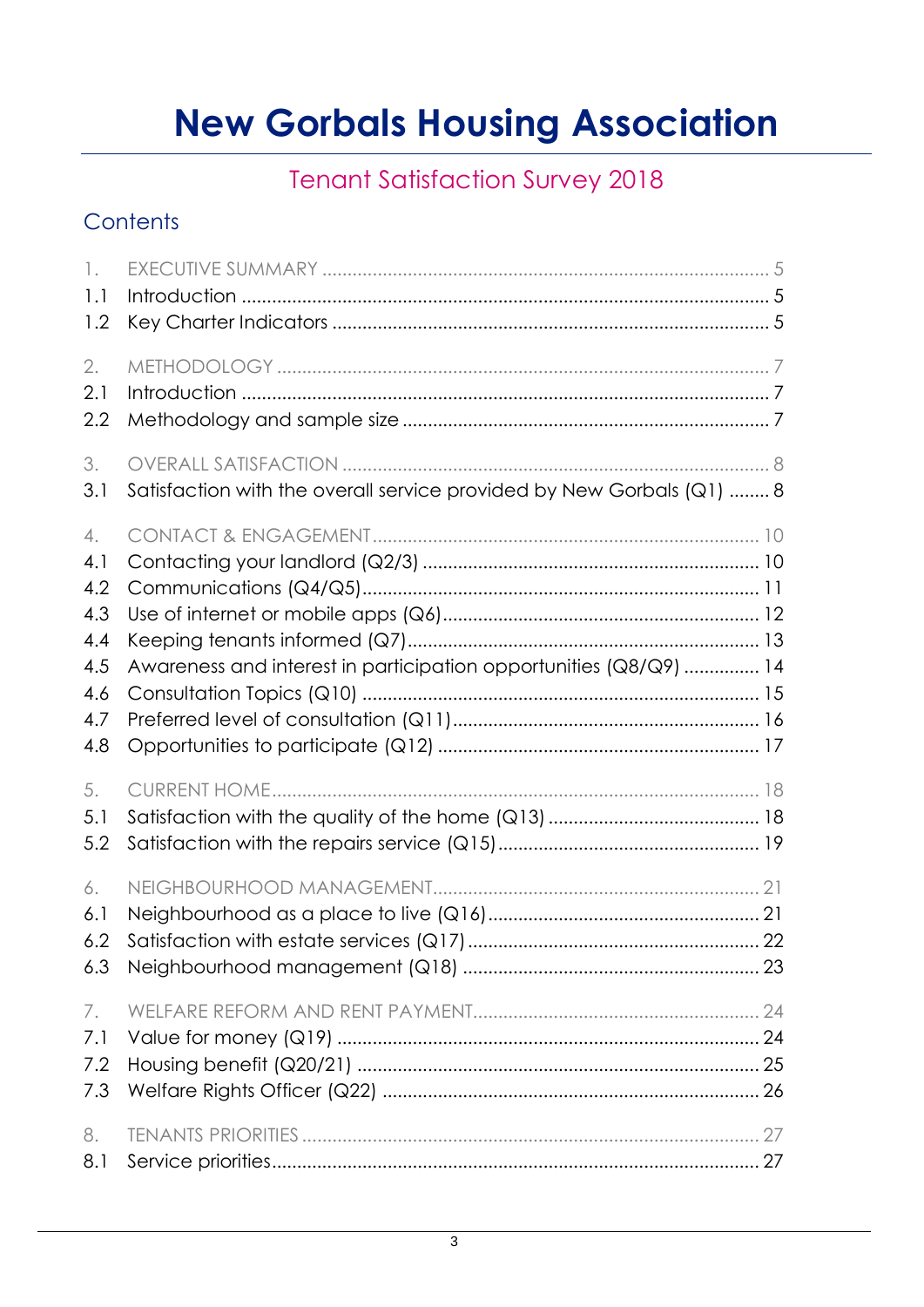# **New Gorbals Housing Association**

## **Tenant Satisfaction Survey 2018**

### Contents

| $\mathcal{L}$<br>1.1<br>1.2                                |                                                                       |  |
|------------------------------------------------------------|-----------------------------------------------------------------------|--|
| 2.<br>2.1<br>2.2                                           |                                                                       |  |
| 3.<br>3.1                                                  | Satisfaction with the overall service provided by New Gorbals (Q1)  8 |  |
| 4.<br>4.1<br>4.2<br>4.3<br>4.4<br>4.5<br>4.6<br>4.7<br>4.8 | Awareness and interest in participation opportunities (Q8/Q9)  14     |  |
| 5.<br>5.1<br>5.2                                           |                                                                       |  |
| 6.<br>6.1<br>6.2<br>6.3                                    |                                                                       |  |
| 7.<br>7.1<br>7.2<br>7.3                                    |                                                                       |  |
| 8.<br>8.1                                                  |                                                                       |  |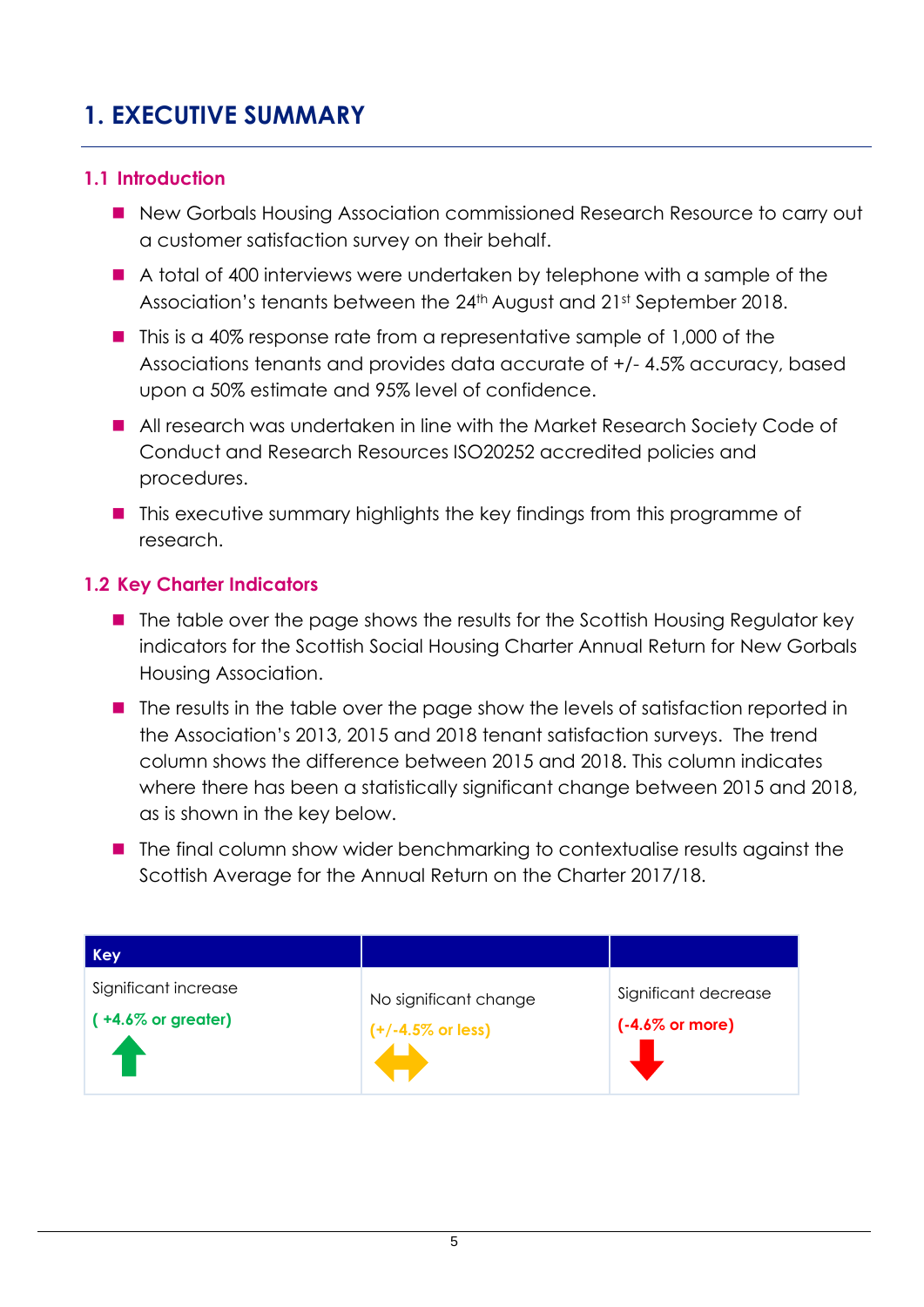### <span id="page-4-0"></span>**1. EXECUTIVE SUMMARY**

#### <span id="page-4-1"></span>**1.1 Introduction**

- New Gorbals Housing Association commissioned Research Resource to carry out a customer satisfaction survey on their behalf.
- A total of 400 interviews were undertaken by telephone with a sample of the Association's tenants between the 24th August and 21st September 2018.
- $\blacksquare$  This is a 40% response rate from a representative sample of 1,000 of the Associations tenants and provides data accurate of +/- 4.5% accuracy, based upon a 50% estimate and 95% level of confidence.
- All research was undertaken in line with the Market Research Society Code of Conduct and Research Resources ISO20252 accredited policies and procedures.
- This executive summary highlights the key findings from this programme of research.

#### <span id="page-4-2"></span>**1.2 Key Charter Indicators**

- $\blacksquare$  The table over the page shows the results for the Scottish Housing Regulator key indicators for the Scottish Social Housing Charter Annual Return for New Gorbals Housing Association.
- The results in the table over the page show the levels of satisfaction reported in the Association's 2013, 2015 and 2018 tenant satisfaction surveys. The trend column shows the difference between 2015 and 2018. This column indicates where there has been a statistically significant change between 2015 and 2018, as is shown in the key below.
- The final column show wider benchmarking to contextualise results against the Scottish Average for the Annual Return on the Charter 2017/18.

| <b>Key</b>                     |                              |                            |
|--------------------------------|------------------------------|----------------------------|
| Significant increase           | No significant change        | Significant decrease       |
| $( +4.6\% \text{ or greater})$ | $(+/-4.5\% \text{ or less})$ | $(-4.6\% \text{ or more})$ |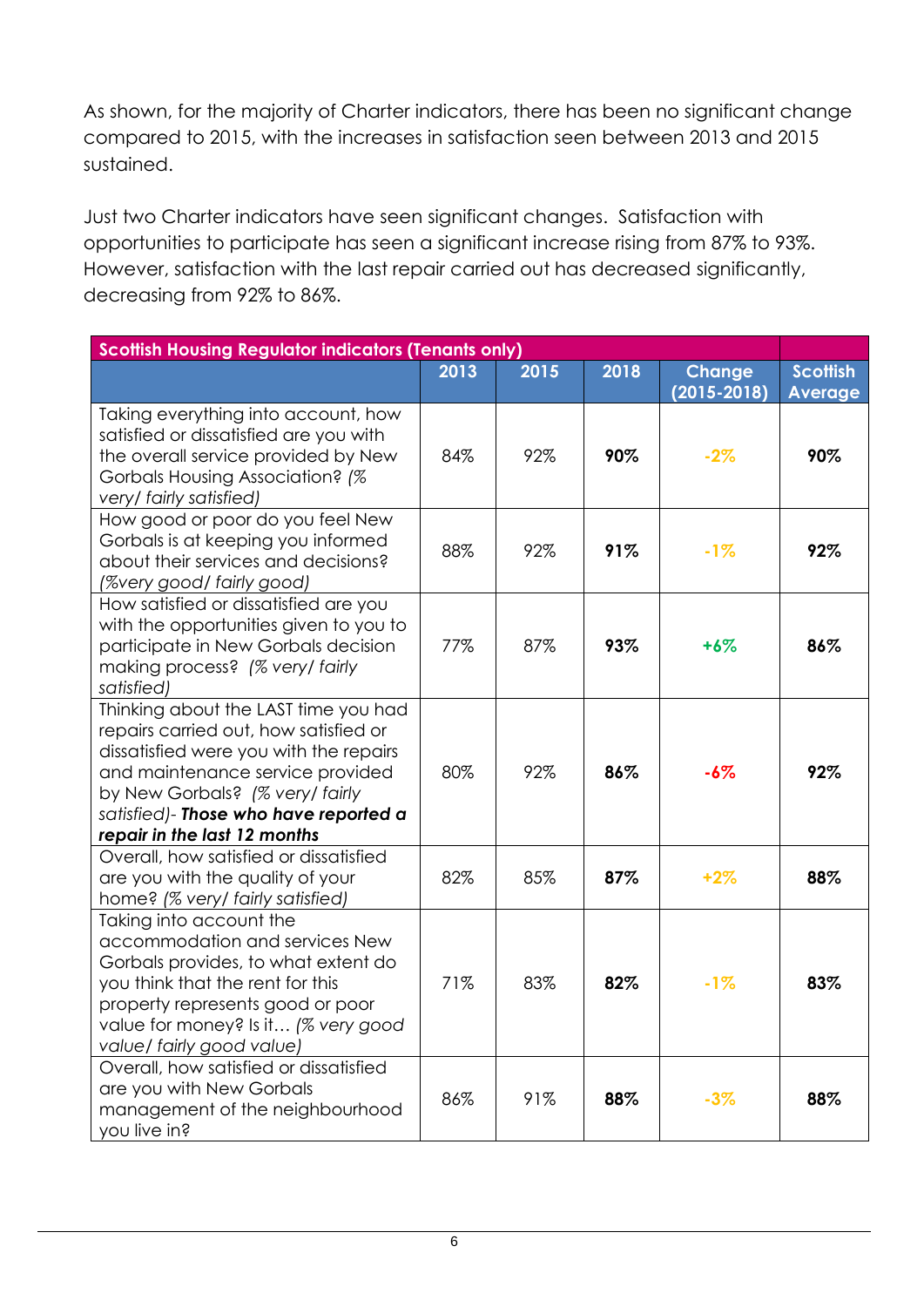As shown, for the majority of Charter indicators, there has been no significant change compared to 2015, with the increases in satisfaction seen between 2013 and 2015 sustained.

Just two Charter indicators have seen significant changes. Satisfaction with opportunities to participate has seen a significant increase rising from 87% to 93%. However, satisfaction with the last repair carried out has decreased significantly, decreasing from 92% to 86%.

| <b>Scottish Housing Regulator indicators (Tenants only)</b>                                                                                                                                                                                                             |      |      |      |                          |                       |
|-------------------------------------------------------------------------------------------------------------------------------------------------------------------------------------------------------------------------------------------------------------------------|------|------|------|--------------------------|-----------------------|
|                                                                                                                                                                                                                                                                         | 2013 | 2015 | 2018 | <b>Change</b>            | <b>Scottish</b>       |
| Taking everything into account, how<br>satisfied or dissatisfied are you with<br>the overall service provided by New<br>Gorbals Housing Association? (%<br>very/ fairly satisfied)                                                                                      | 84%  | 92%  | 90%  | $(2015 - 2018)$<br>$-2%$ | <b>Average</b><br>90% |
| How good or poor do you feel New<br>Gorbals is at keeping you informed<br>about their services and decisions?<br>(%very good/ fairly good)                                                                                                                              | 88%  | 92%  | 91%  | $-1%$                    | 92%                   |
| How satisfied or dissatisfied are you<br>with the opportunities given to you to<br>participate in New Gorbals decision<br>making process? (% very/ fairly<br>satisfied)                                                                                                 | 77%  | 87%  | 93%  | $+6%$                    | 86%                   |
| Thinking about the LAST time you had<br>repairs carried out, how satisfied or<br>dissatisfied were you with the repairs<br>and maintenance service provided<br>by New Gorbals? (% very/ fairly<br>satisfied)- Those who have reported a<br>repair in the last 12 months | 80%  | 92%  | 86%  | $-6%$                    | 92%                   |
| Overall, how satisfied or dissatisfied<br>are you with the quality of your<br>home? (% very/ fairly satisfied)                                                                                                                                                          | 82%  | 85%  | 87%  | $+2%$                    | 88%                   |
| Taking into account the<br>accommodation and services New<br>Gorbals provides, to what extent do<br>you think that the rent for this<br>property represents good or poor<br>value for money? Is it (% very good<br>value/ fairly good value)                            | 71%  | 83%  | 82%  | $-1%$                    | 83%                   |
| Overall, how satisfied or dissatisfied<br>are you with New Gorbals<br>management of the neighbourhood<br>you live in?                                                                                                                                                   | 86%  | 91%  | 88%  | $-3%$                    | 88%                   |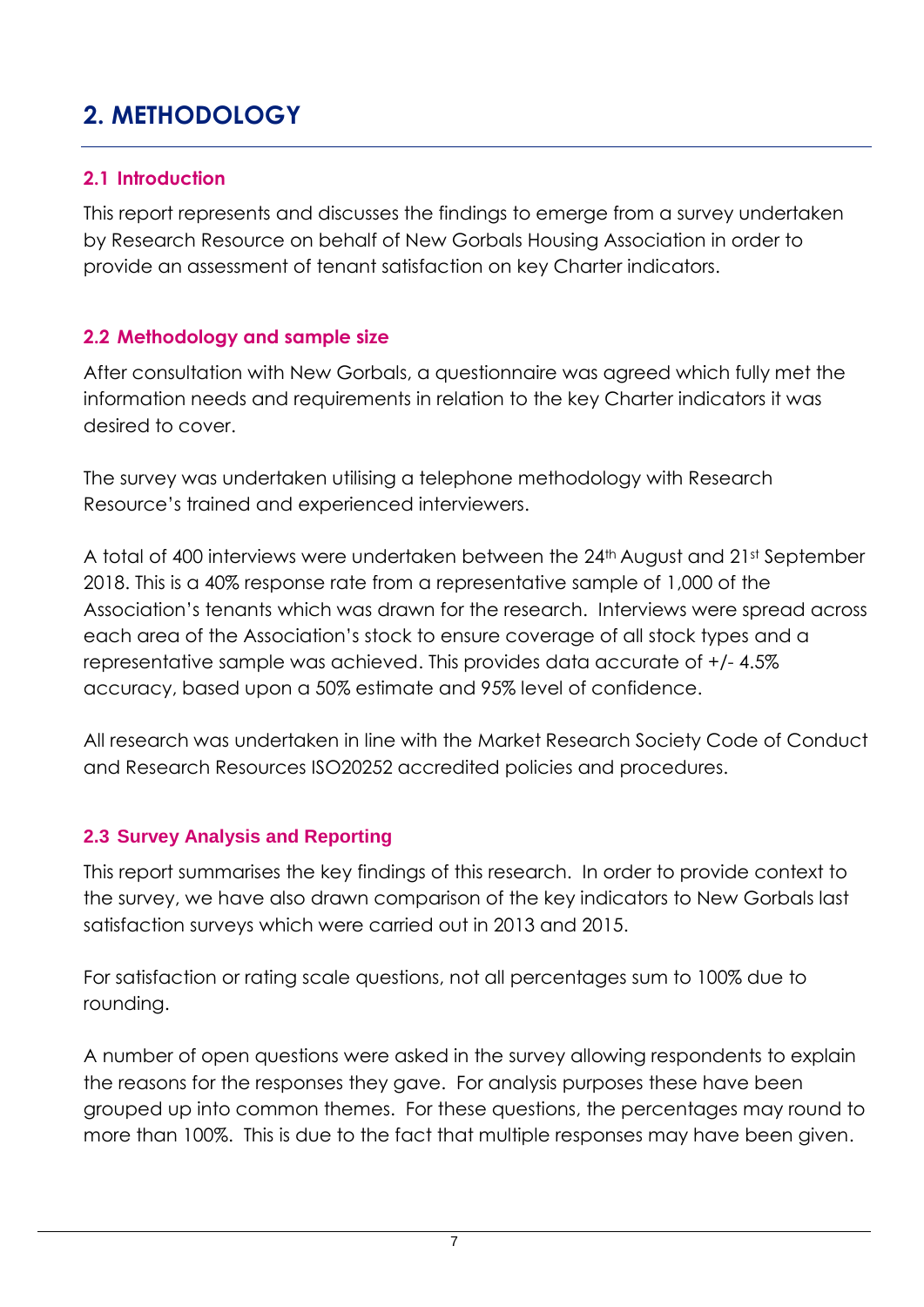## <span id="page-6-0"></span>**2. METHODOLOGY**

#### <span id="page-6-1"></span>**2.1 Introduction**

This report represents and discusses the findings to emerge from a survey undertaken by Research Resource on behalf of New Gorbals Housing Association in order to provide an assessment of tenant satisfaction on key Charter indicators.

#### <span id="page-6-2"></span>**2.2 Methodology and sample size**

After consultation with New Gorbals, a questionnaire was agreed which fully met the information needs and requirements in relation to the key Charter indicators it was desired to cover.

The survey was undertaken utilising a telephone methodology with Research Resource's trained and experienced interviewers.

A total of 400 interviews were undertaken between the 24th August and 21st September 2018. This is a 40% response rate from a representative sample of 1,000 of the Association's tenants which was drawn for the research. Interviews were spread across each area of the Association's stock to ensure coverage of all stock types and a representative sample was achieved. This provides data accurate of +/- 4.5% accuracy, based upon a 50% estimate and 95% level of confidence.

All research was undertaken in line with the Market Research Society Code of Conduct and Research Resources ISO20252 accredited policies and procedures.

#### **2.3 Survey Analysis and Reporting**

This report summarises the key findings of this research. In order to provide context to the survey, we have also drawn comparison of the key indicators to New Gorbals last satisfaction surveys which were carried out in 2013 and 2015.

For satisfaction or rating scale questions, not all percentages sum to 100% due to rounding.

A number of open questions were asked in the survey allowing respondents to explain the reasons for the responses they gave. For analysis purposes these have been grouped up into common themes. For these questions, the percentages may round to more than 100%. This is due to the fact that multiple responses may have been given.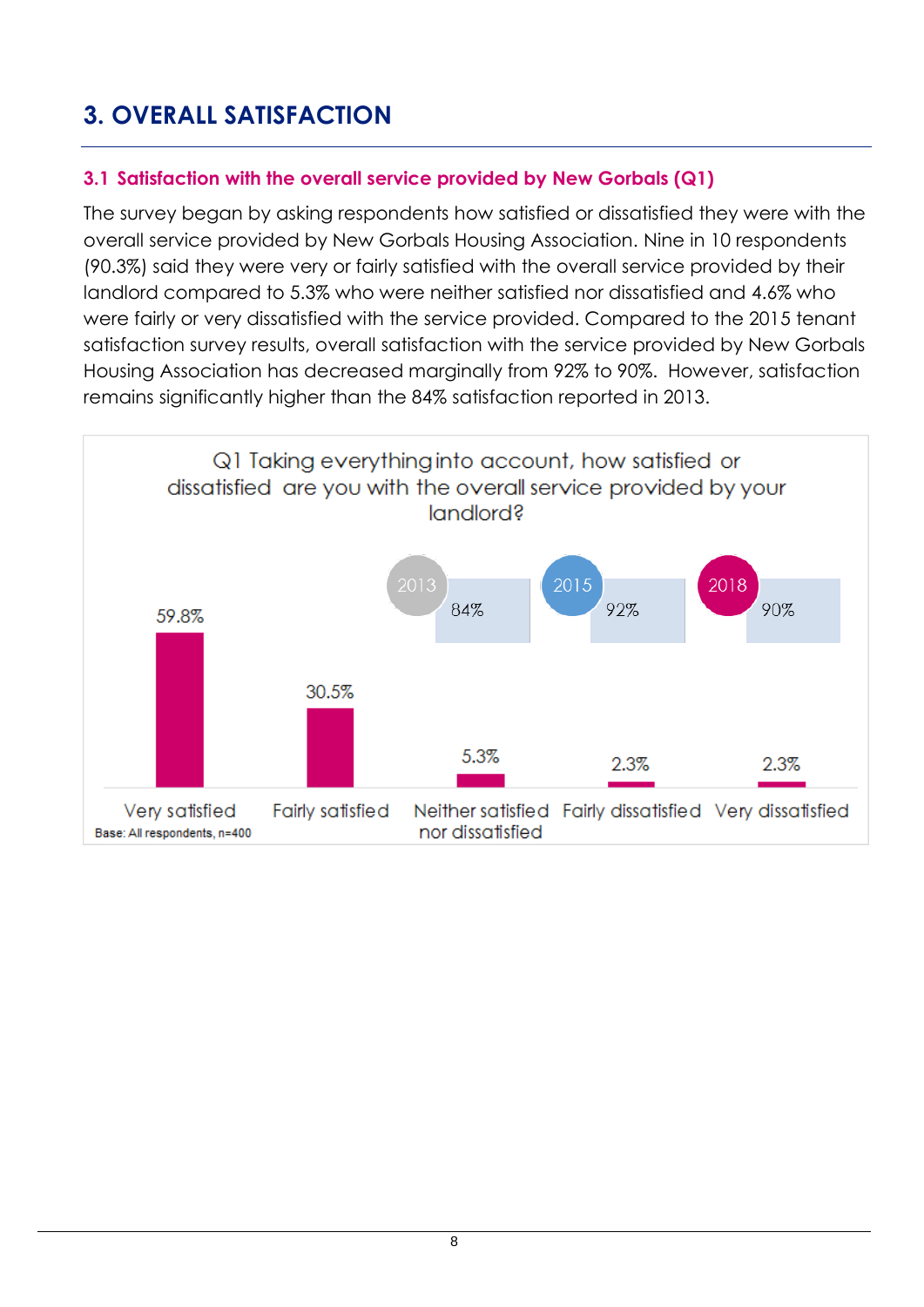## <span id="page-7-0"></span>**3. OVERALL SATISFACTION**

#### <span id="page-7-1"></span>**3.1 Satisfaction with the overall service provided by New Gorbals (Q1)**

The survey began by asking respondents how satisfied or dissatisfied they were with the overall service provided by New Gorbals Housing Association. Nine in 10 respondents (90.3%) said they were very or fairly satisfied with the overall service provided by their landlord compared to 5.3% who were neither satisfied nor dissatisfied and 4.6% who were fairly or very dissatisfied with the service provided. Compared to the 2015 tenant satisfaction survey results, overall satisfaction with the service provided by New Gorbals Housing Association has decreased marginally from 92% to 90%. However, satisfaction remains significantly higher than the 84% satisfaction reported in 2013.

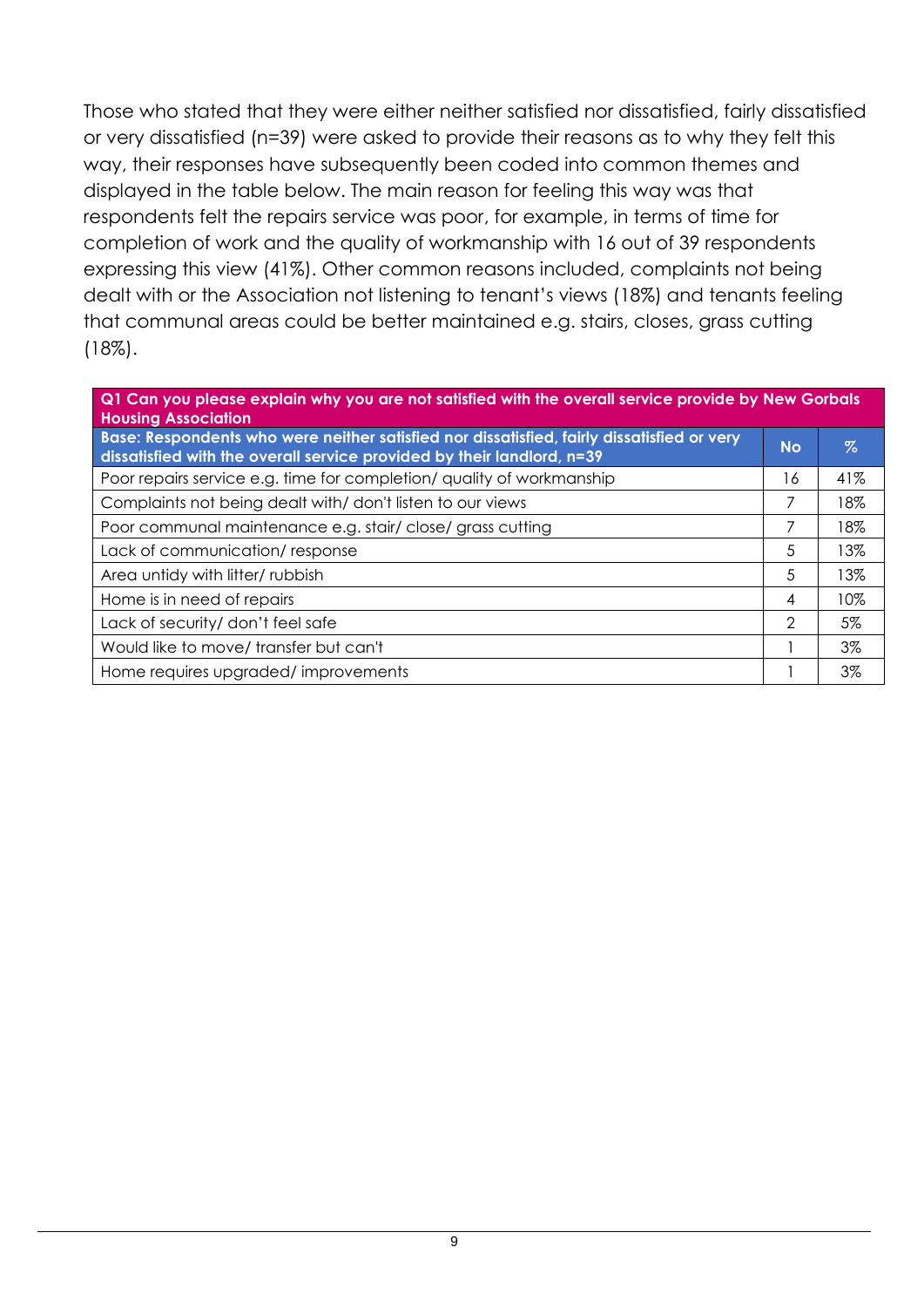Those who stated that they were either neither satisfied nor dissatisfied, fairly dissatisfied or very dissatisfied (n=39) were asked to provide their reasons as to why they felt this way, their responses have subsequently been coded into common themes and displayed in the table below. The main reason for feeling this way was that respondents felt the repairs service was poor, for example, in terms of time for completion of work and the quality of workmanship with 16 out of 39 respondents expressing this view (41%). Other common reasons included, complaints not being dealt with or the Association not listening to tenant's views (18%) and tenants feeling that communal areas could be better maintained e.g. stairs, closes, grass cutting (18%).

| Q1 Can you please explain why you are not satisfied with the overall service provide by New Gorbals<br><b>Housing Association</b>                                    |           |       |  |
|----------------------------------------------------------------------------------------------------------------------------------------------------------------------|-----------|-------|--|
| Base: Respondents who were neither satisfied nor dissatisfied, fairly dissatisfied or very<br>dissatisfied with the overall service provided by their landlord, n=39 | <b>No</b> | $\%$  |  |
| Poor repairs service e.g. time for completion/ quality of workmanship                                                                                                | 16        | 41%   |  |
| Complaints not being dealt with/don't listen to our views                                                                                                            | 7         | 18%   |  |
| Poor communal maintenance e.g. stair/close/grass cutting                                                                                                             | 7         | 18%   |  |
| Lack of communication/response                                                                                                                                       | 5         | 13%   |  |
| Area untidy with litter/ rubbish                                                                                                                                     | 5         | 13%   |  |
| Home is in need of repairs                                                                                                                                           | 4         | 10%   |  |
| Lack of security/ don't feel safe                                                                                                                                    | 2         | 5%    |  |
| Would like to move/transfer but can't                                                                                                                                |           | $3\%$ |  |
| Home requires upgraded/improvements                                                                                                                                  |           | 3%    |  |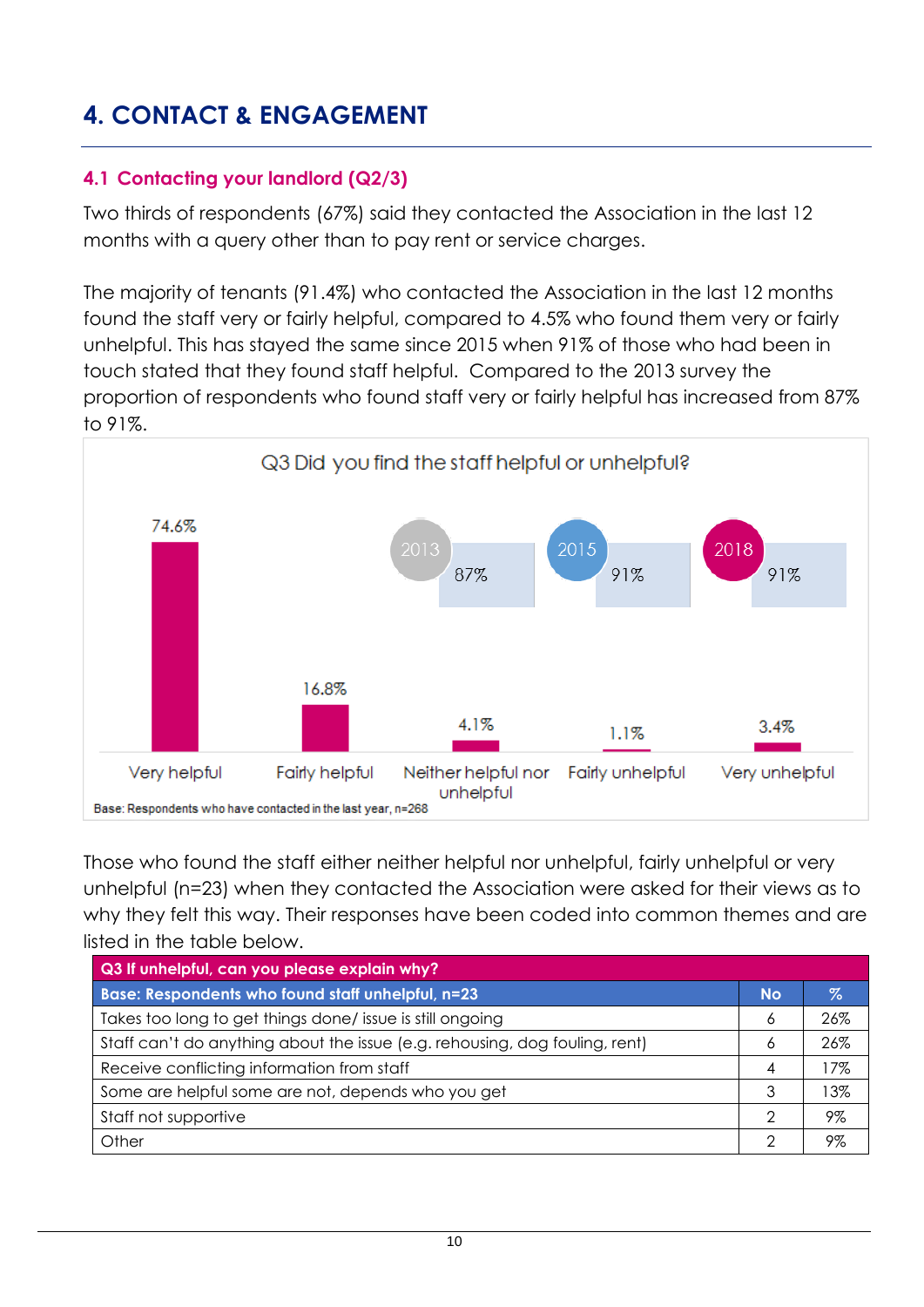### <span id="page-9-0"></span>**4. CONTACT & ENGAGEMENT**

#### <span id="page-9-1"></span>**4.1 Contacting your landlord (Q2/3)**

Two thirds of respondents (67%) said they contacted the Association in the last 12 months with a query other than to pay rent or service charges.

The majority of tenants (91.4%) who contacted the Association in the last 12 months found the staff very or fairly helpful, compared to 4.5% who found them very or fairly unhelpful. This has stayed the same since 2015 when 91% of those who had been in touch stated that they found staff helpful. Compared to the 2013 survey the proportion of respondents who found staff very or fairly helpful has increased from 87% to 91%.



Those who found the staff either neither helpful nor unhelpful, fairly unhelpful or very unhelpful (n=23) when they contacted the Association were asked for their views as to why they felt this way. Their responses have been coded into common themes and are listed in the table below.

| Q3 If unhelpful, can you please explain why?                                |           |      |  |  |  |
|-----------------------------------------------------------------------------|-----------|------|--|--|--|
| Base: Respondents who found staff unhelpful, n=23                           | <b>No</b> | $\%$ |  |  |  |
| Takes too long to get things done/ issue is still ongoing                   | 6         | 26%  |  |  |  |
| Staff can't do anything about the issue (e.g. rehousing, dog fouling, rent) | Ô         | 26%  |  |  |  |
| Receive conflicting information from staff                                  | 4         | 17%  |  |  |  |
| Some are helpful some are not, depends who you get                          | 3         | 3%   |  |  |  |
| Staff not supportive                                                        | ≘         | 9%   |  |  |  |
| Other                                                                       | ⌒         | 9%   |  |  |  |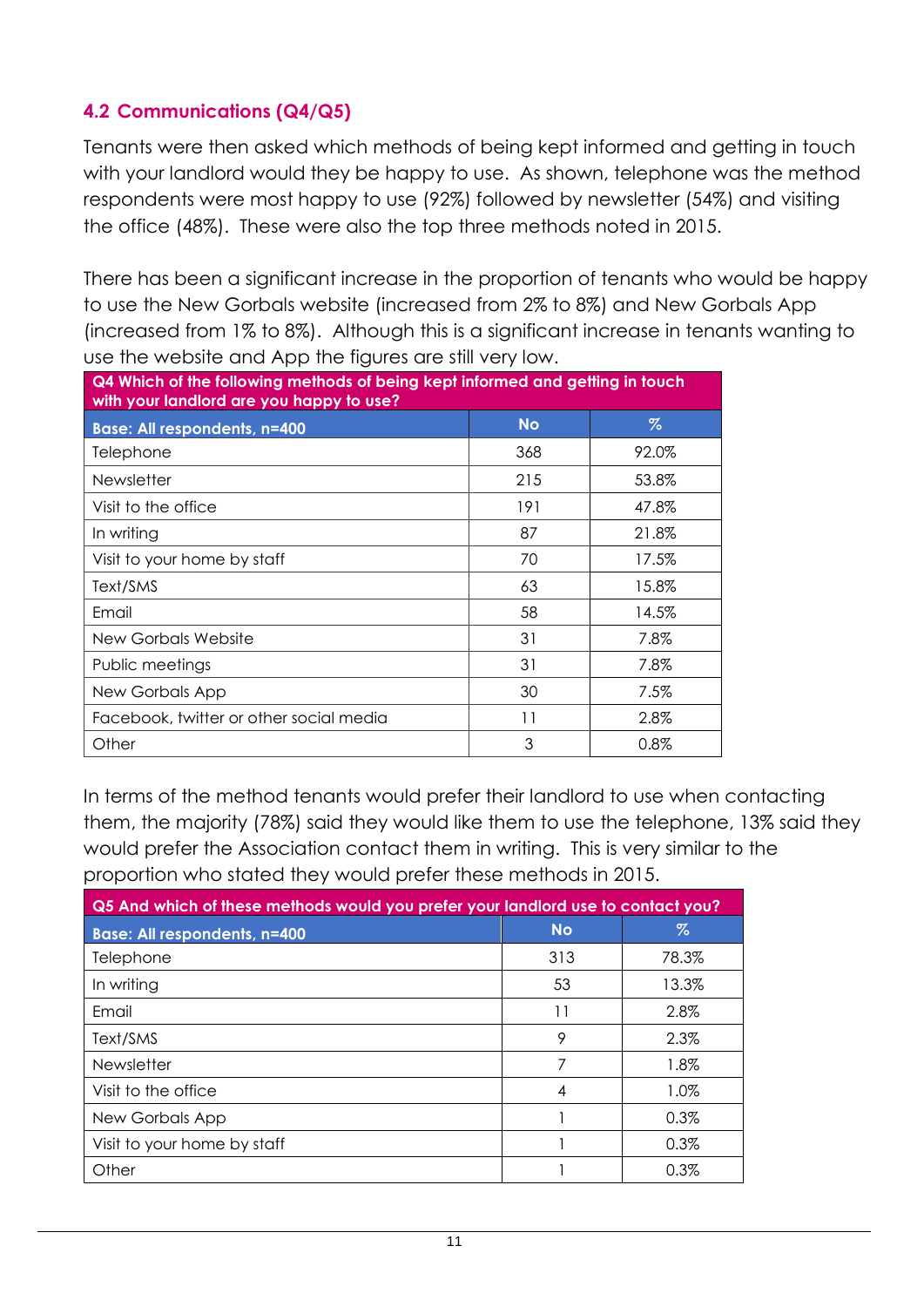#### <span id="page-10-0"></span>**4.2 Communications (Q4/Q5)**

Tenants were then asked which methods of being kept informed and getting in touch with your landlord would they be happy to use. As shown, telephone was the method respondents were most happy to use (92%) followed by newsletter (54%) and visiting the office (48%). These were also the top three methods noted in 2015.

There has been a significant increase in the proportion of tenants who would be happy to use the New Gorbals website (increased from 2% to 8%) and New Gorbals App (increased from 1% to 8%). Although this is a significant increase in tenants wanting to use the website and App the figures are still very low.

| Q4 Which of the following methods of being kept informed and getting in touch<br>with your landlord are you happy to use? |     |       |  |  |  |
|---------------------------------------------------------------------------------------------------------------------------|-----|-------|--|--|--|
| $\%$<br><b>No</b><br><b>Base: All respondents, n=400</b>                                                                  |     |       |  |  |  |
| Telephone                                                                                                                 | 368 | 92.0% |  |  |  |
| Newsletter                                                                                                                | 215 | 53.8% |  |  |  |
| Visit to the office                                                                                                       | 191 | 47.8% |  |  |  |
| In writing                                                                                                                | 87  | 21.8% |  |  |  |
| Visit to your home by staff                                                                                               | 70  | 17.5% |  |  |  |
| Text/SMS                                                                                                                  | 63  | 15.8% |  |  |  |
| Email                                                                                                                     | 58  | 14.5% |  |  |  |
| <b>New Gorbals Website</b>                                                                                                | 31  | 7.8%  |  |  |  |
| Public meetings                                                                                                           | 31  | 7.8%  |  |  |  |
| New Gorbals App                                                                                                           | 30  | 7.5%  |  |  |  |
| Facebook, twitter or other social media                                                                                   | 11  | 2.8%  |  |  |  |
| Other                                                                                                                     | 3   | 0.8%  |  |  |  |

In terms of the method tenants would prefer their landlord to use when contacting them, the majority (78%) said they would like them to use the telephone, 13% said they would prefer the Association contact them in writing. This is very similar to the proportion who stated they would prefer these methods in 2015.

| Q5 And which of these methods would you prefer your landlord use to contact you? |           |       |  |  |
|----------------------------------------------------------------------------------|-----------|-------|--|--|
| <b>Base: All respondents, n=400</b>                                              | <b>No</b> | $\%$  |  |  |
| Telephone                                                                        | 313       | 78.3% |  |  |
| In writing                                                                       | 53        | 13.3% |  |  |
| Fmail                                                                            | 11        | 2.8%  |  |  |
| Text/SMS                                                                         | 9         | 2.3%  |  |  |
| <b>Newsletter</b>                                                                | 7         | 1.8%  |  |  |
| Visit to the office                                                              | 4         | 1.0%  |  |  |
| New Gorbals App                                                                  |           | 0.3%  |  |  |
| Visit to your home by staff                                                      |           | 0.3%  |  |  |
| Other                                                                            |           | 0.3%  |  |  |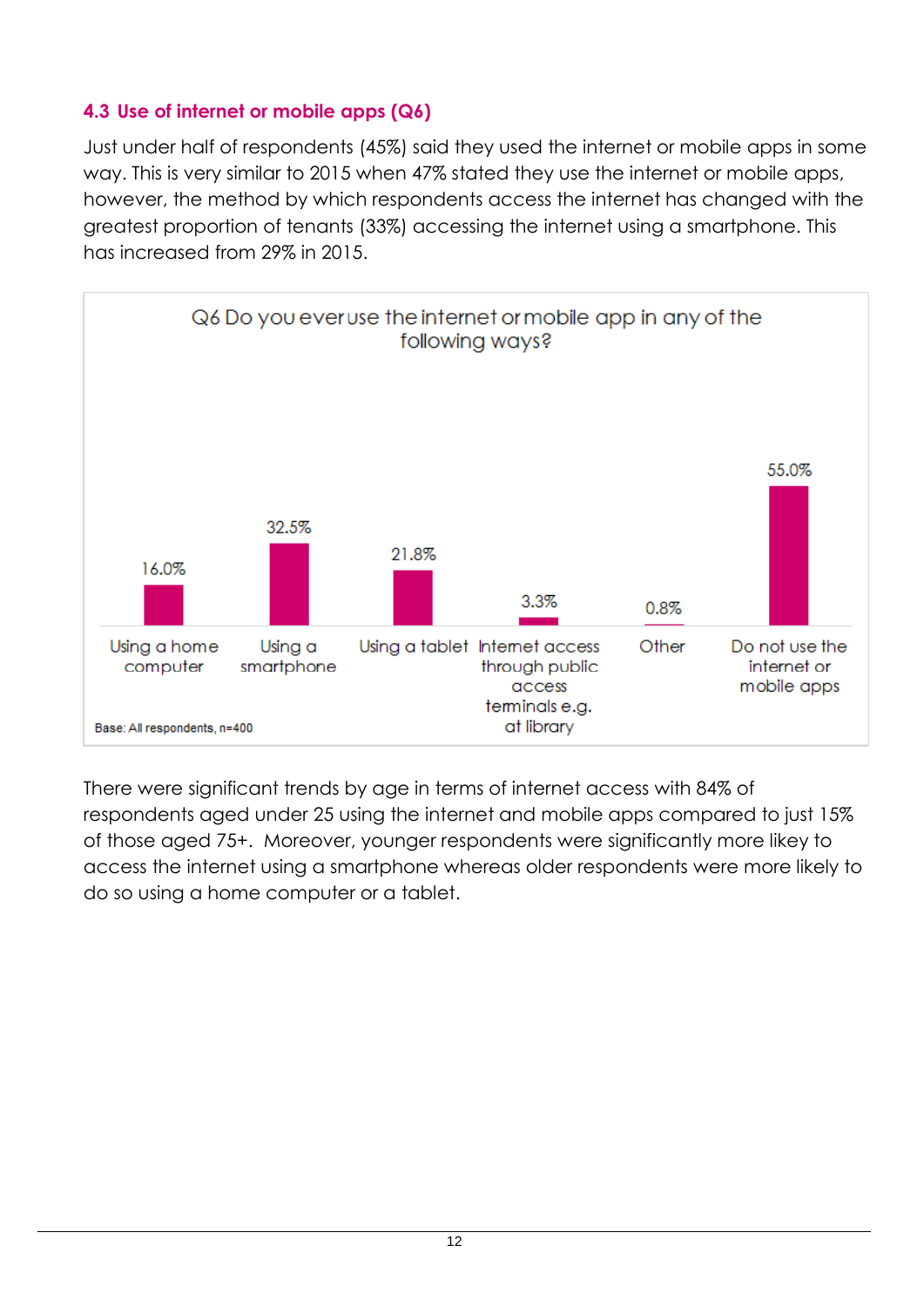#### <span id="page-11-0"></span>**4.3 Use of internet or mobile apps (Q6)**

Just under half of respondents (45%) said they used the internet or mobile apps in some way. This is very similar to 2015 when 47% stated they use the internet or mobile apps, however, the method by which respondents access the internet has changed with the greatest proportion of tenants (33%) accessing the internet using a smartphone. This has increased from 29% in 2015.



There were significant trends by age in terms of internet access with 84% of respondents aged under 25 using the internet and mobile apps compared to just 15% of those aged 75+. Moreover, younger respondents were significantly more likey to access the internet using a smartphone whereas older respondents were more likely to do so using a home computer or a tablet.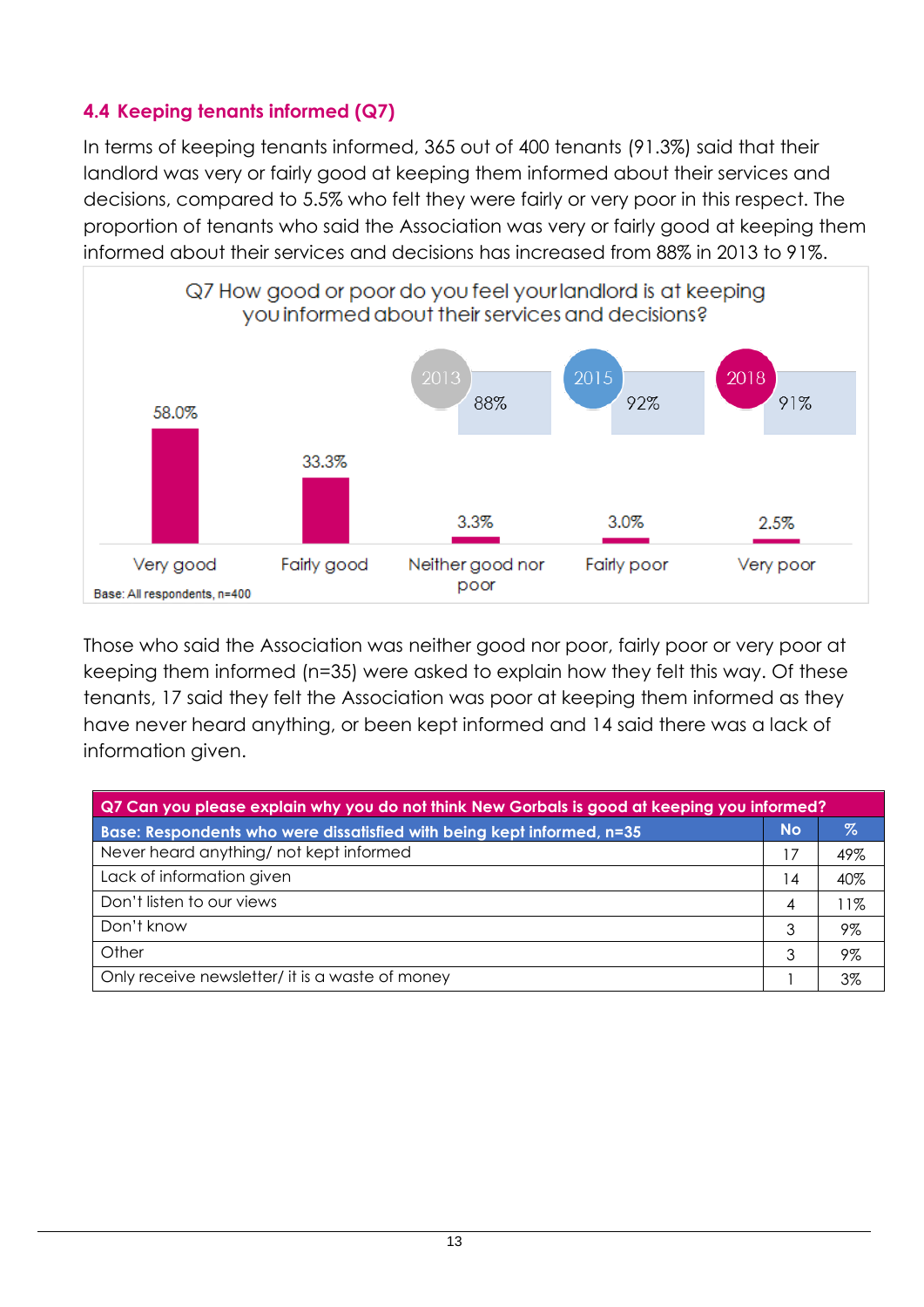#### <span id="page-12-0"></span>**4.4 Keeping tenants informed (Q7)**

In terms of keeping tenants informed, 365 out of 400 tenants (91.3%) said that their landlord was very or fairly good at keeping them informed about their services and decisions, compared to 5.5% who felt they were fairly or very poor in this respect. The proportion of tenants who said the Association was very or fairly good at keeping them informed about their services and decisions has increased from 88% in 2013 to 91%.



Those who said the Association was neither good nor poor, fairly poor or very poor at keeping them informed (n=35) were asked to explain how they felt this way. Of these tenants, 17 said they felt the Association was poor at keeping them informed as they have never heard anything, or been kept informed and 14 said there was a lack of information given.

| Q7 Can you please explain why you do not think New Gorbals is good at keeping you informed? |    |       |  |
|---------------------------------------------------------------------------------------------|----|-------|--|
| Base: Respondents who were dissatisfied with being kept informed, n=35                      |    | Z     |  |
| Never heard anything/ not kept informed                                                     | 17 | 49%   |  |
| Lack of information given                                                                   | 4  | 40%   |  |
| Don't listen to our views                                                                   | 4  | $1\%$ |  |
| Don't know                                                                                  | 3  | 9%    |  |
| Other                                                                                       | 3  | 9%    |  |
| Only receive newsletter/ it is a waste of money                                             |    | 3%    |  |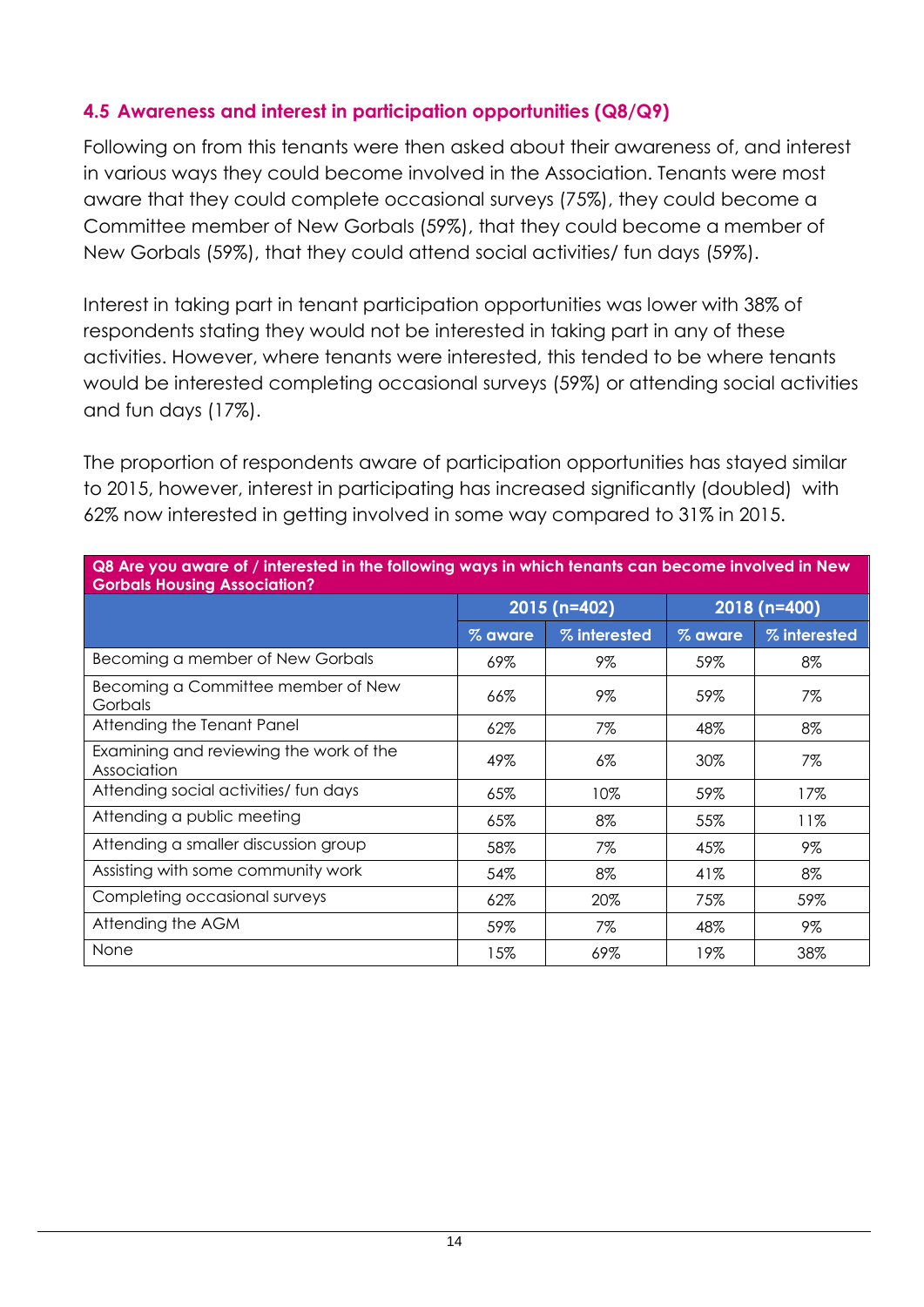#### <span id="page-13-0"></span>**4.5 Awareness and interest in participation opportunities (Q8/Q9)**

Following on from this tenants were then asked about their awareness of, and interest in various ways they could become involved in the Association. Tenants were most aware that they could complete occasional surveys (75%), they could become a Committee member of New Gorbals (59%), that they could become a member of New Gorbals (59%), that they could attend social activities/ fun days (59%).

Interest in taking part in tenant participation opportunities was lower with 38% of respondents stating they would not be interested in taking part in any of these activities. However, where tenants were interested, this tended to be where tenants would be interested completing occasional surveys (59%) or attending social activities and fun days (17%).

The proportion of respondents aware of participation opportunities has stayed similar to 2015, however, interest in participating has increased significantly (doubled) with 62% now interested in getting involved in some way compared to 31% in 2015.

| Q8 Are you aware of / interested in the following ways in which tenants can become involved in New<br><b>Gorbals Housing Association?</b> |         |              |         |               |  |  |
|-------------------------------------------------------------------------------------------------------------------------------------------|---------|--------------|---------|---------------|--|--|
|                                                                                                                                           |         | 2015 (n=402) |         | $2018(n=400)$ |  |  |
|                                                                                                                                           | % aware | % interested | % aware | % interested  |  |  |
| Becoming a member of New Gorbals                                                                                                          | 69%     | 9%           | 59%     | 8%            |  |  |
| Becoming a Committee member of New<br>Gorbals                                                                                             | 66%     | 9%           | 59%     | 7%            |  |  |
| Attending the Tenant Panel                                                                                                                | 62%     | 7%           | 48%     | 8%            |  |  |
| Examining and reviewing the work of the<br>Association                                                                                    | 49%     | $6\%$        | 30%     | 7%            |  |  |
| Attending social activities/ fun days                                                                                                     | 65%     | 10%          | 59%     | 17%           |  |  |
| Attending a public meeting                                                                                                                | 65%     | 8%           | 55%     | 11%           |  |  |
| Attending a smaller discussion group                                                                                                      | 58%     | 7%           | 45%     | 9%            |  |  |
| Assisting with some community work                                                                                                        | 54%     | 8%           | 41%     | 8%            |  |  |
| Completing occasional surveys                                                                                                             | 62%     | 20%          | 75%     | 59%           |  |  |
| Attending the AGM                                                                                                                         | 59%     | 7%           | 48%     | 9%            |  |  |
| None                                                                                                                                      | 15%     | 69%          | 19%     | 38%           |  |  |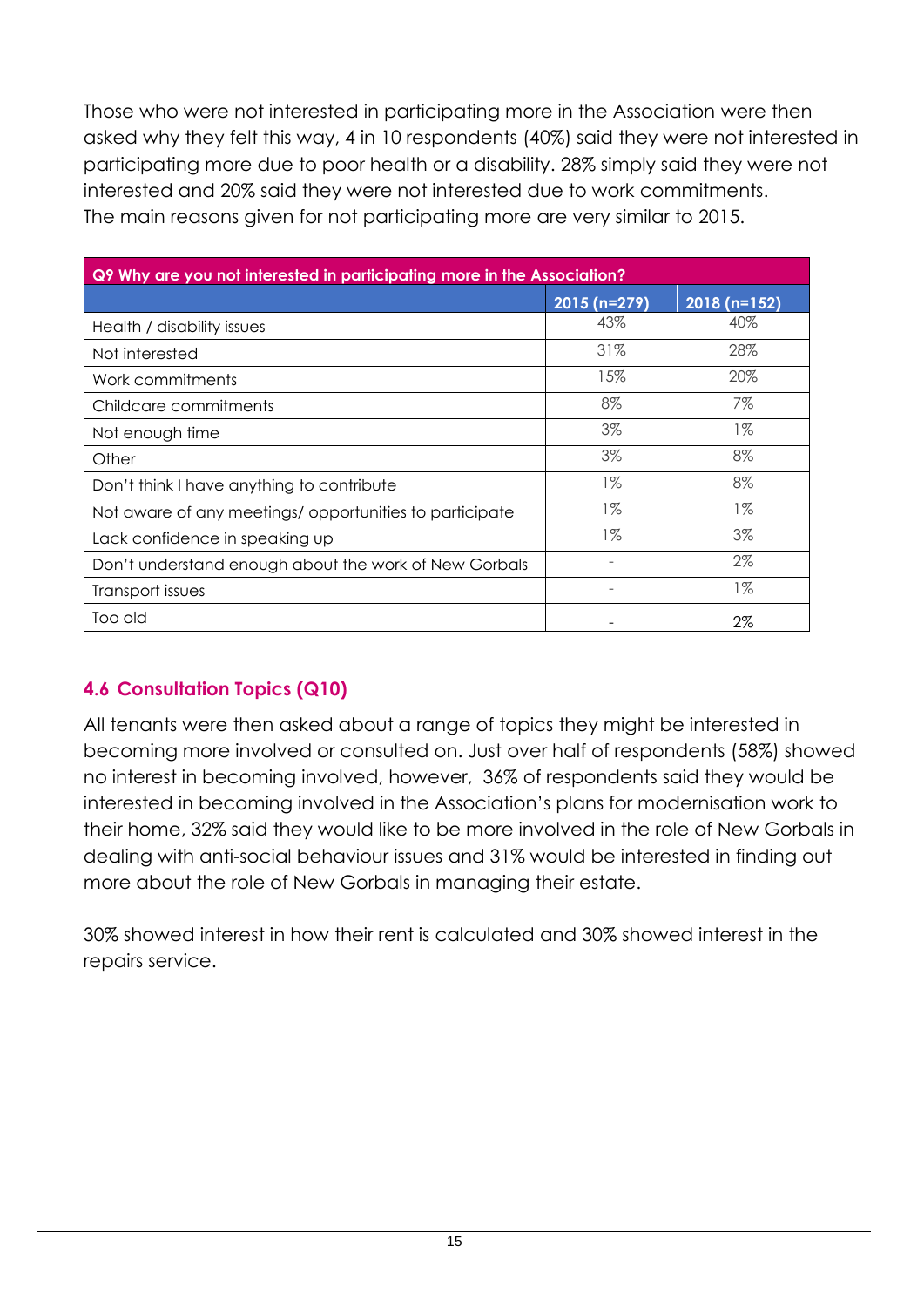Those who were not interested in participating more in the Association were then asked why they felt this way, 4 in 10 respondents (40%) said they were not interested in participating more due to poor health or a disability. 28% simply said they were not interested and 20% said they were not interested due to work commitments. The main reasons given for not participating more are very similar to 2015.

| Q9 Why are you not interested in participating more in the Association? |              |              |  |  |  |
|-------------------------------------------------------------------------|--------------|--------------|--|--|--|
|                                                                         | 2015 (n=279) | 2018 (n=152) |  |  |  |
| Health / disability issues                                              | 43%          | 40%          |  |  |  |
| Not interested                                                          | 31%          | 28%          |  |  |  |
| Work commitments                                                        | 15%          | 20%          |  |  |  |
| Childcare commitments                                                   | 8%           | 7%           |  |  |  |
| Not enough time                                                         | 3%           | $1\%$        |  |  |  |
| Other                                                                   | 3%           | 8%           |  |  |  |
| Don't think I have anything to contribute                               | $1\%$        | 8%           |  |  |  |
| Not aware of any meetings/opportunities to participate                  | $1\%$        | $1\%$        |  |  |  |
| Lack confidence in speaking up                                          | $1\%$        | 3%           |  |  |  |
| Don't understand enough about the work of New Gorbals                   | ۰            | 2%           |  |  |  |
| Transport issues                                                        |              | $1\%$        |  |  |  |
| Too old                                                                 |              | 2%           |  |  |  |

### <span id="page-14-0"></span>**4.6 Consultation Topics (Q10)**

All tenants were then asked about a range of topics they might be interested in becoming more involved or consulted on. Just over half of respondents (58%) showed no interest in becoming involved, however, 36% of respondents said they would be interested in becoming involved in the Association's plans for modernisation work to their home, 32% said they would like to be more involved in the role of New Gorbals in dealing with anti-social behaviour issues and 31% would be interested in finding out more about the role of New Gorbals in managing their estate.

30% showed interest in how their rent is calculated and 30% showed interest in the repairs service.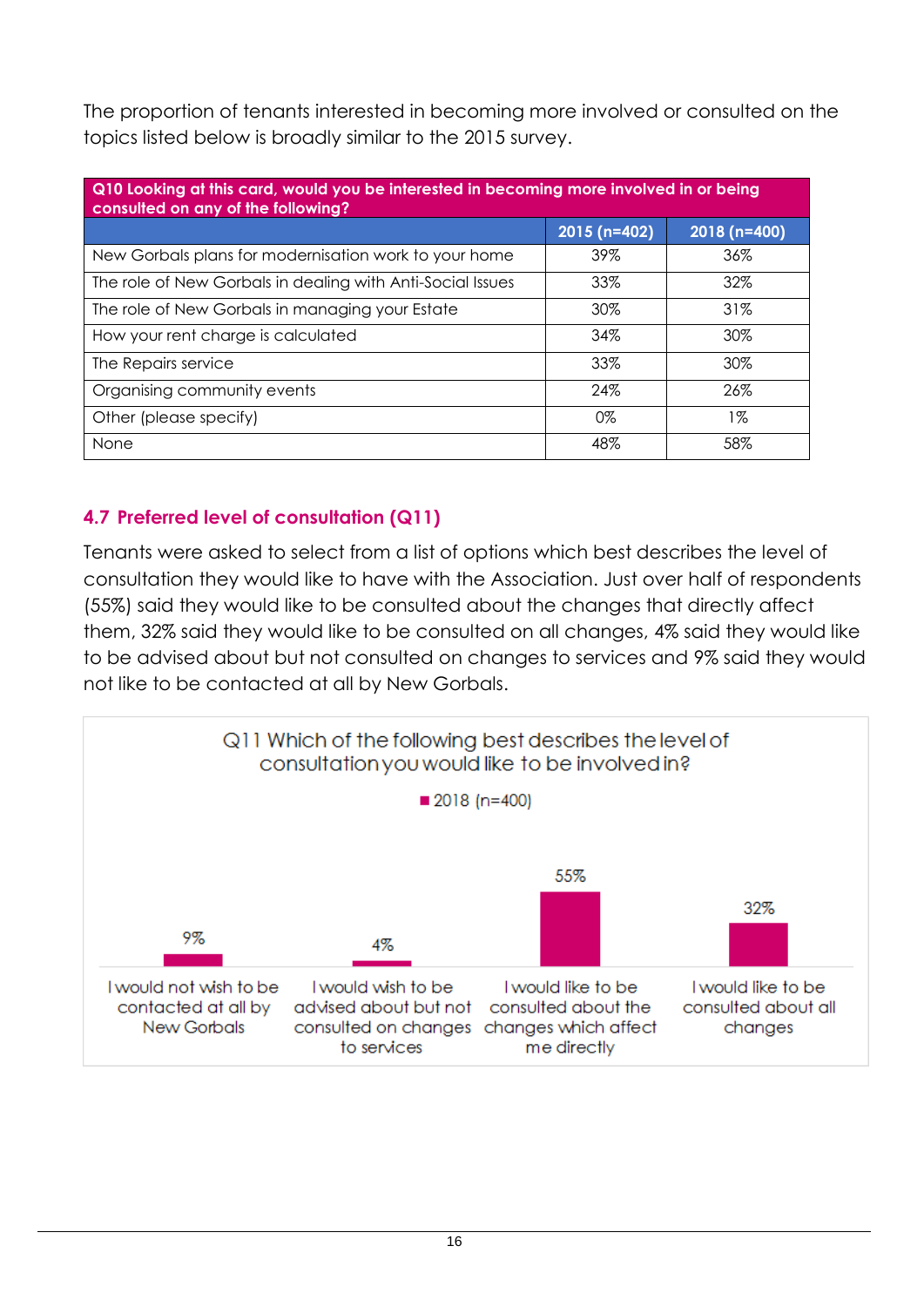The proportion of tenants interested in becoming more involved or consulted on the topics listed below is broadly similar to the 2015 survey.

| Q10 Looking at this card, would you be interested in becoming more involved in or being<br>consulted on any of the following? |              |              |  |  |  |
|-------------------------------------------------------------------------------------------------------------------------------|--------------|--------------|--|--|--|
|                                                                                                                               | 2015 (n=402) | 2018 (n=400) |  |  |  |
| New Gorbals plans for modernisation work to your home                                                                         | 39%          | 36%          |  |  |  |
| The role of New Gorbals in dealing with Anti-Social Issues                                                                    | 33%          | 32%          |  |  |  |
| The role of New Gorbals in managing your Estate                                                                               | 30%          | 31%          |  |  |  |
| How your rent charge is calculated                                                                                            | 34%          | 30%          |  |  |  |
| The Repairs service                                                                                                           | 33%          | $30\%$       |  |  |  |
| Organising community events                                                                                                   | 24%          | 26%          |  |  |  |
| Other (please specify)                                                                                                        | 0%           | $1\%$        |  |  |  |
| None                                                                                                                          | 48%          | 58%          |  |  |  |

#### <span id="page-15-0"></span>**4.7 Preferred level of consultation (Q11)**

Tenants were asked to select from a list of options which best describes the level of consultation they would like to have with the Association. Just over half of respondents (55%) said they would like to be consulted about the changes that directly affect them, 32% said they would like to be consulted on all changes, 4% said they would like to be advised about but not consulted on changes to services and 9% said they would not like to be contacted at all by New Gorbals.

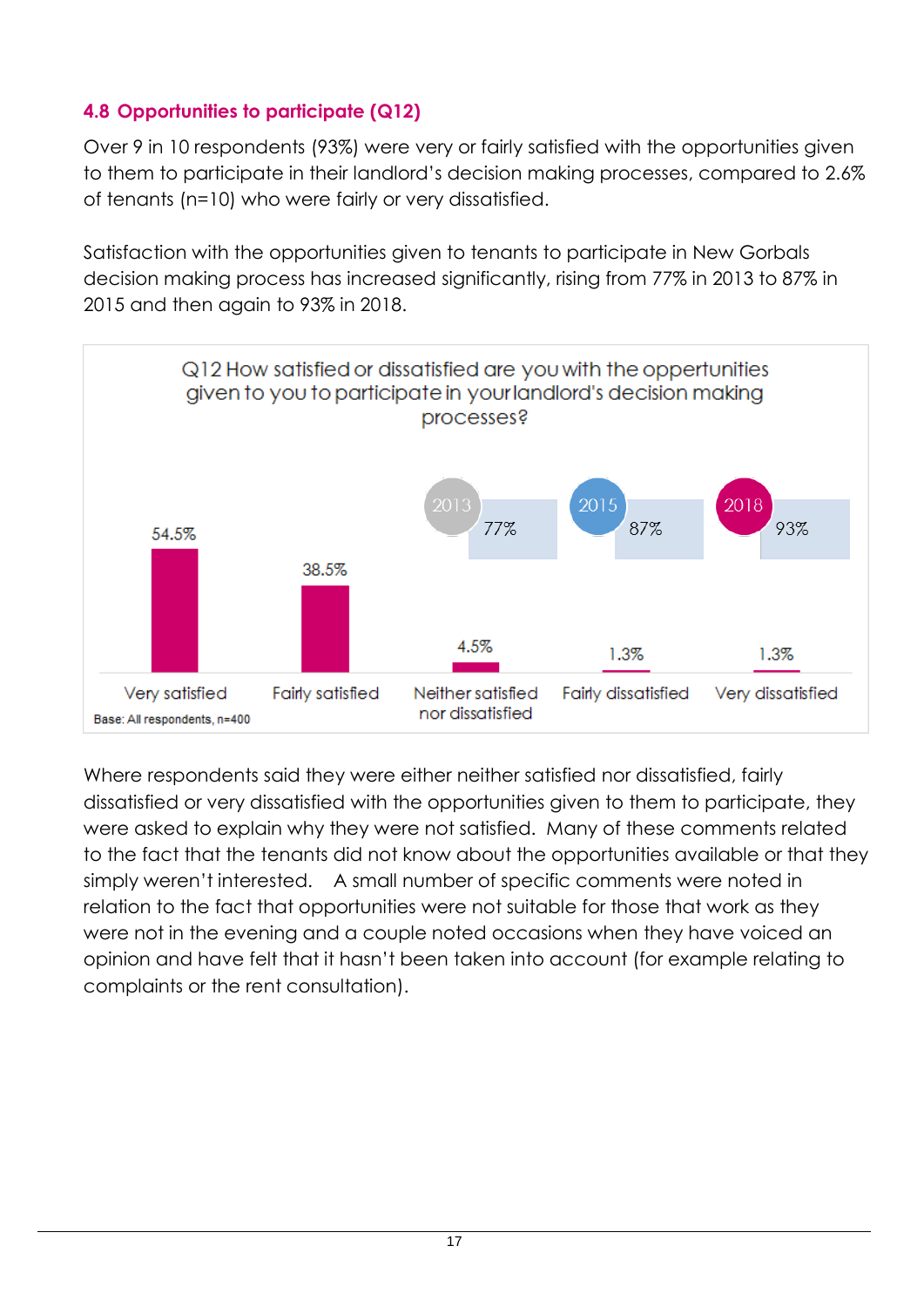#### <span id="page-16-0"></span>**4.8 Opportunities to participate (Q12)**

Over 9 in 10 respondents (93%) were very or fairly satisfied with the opportunities given to them to participate in their landlord's decision making processes, compared to 2.6% of tenants (n=10) who were fairly or very dissatisfied.

Satisfaction with the opportunities given to tenants to participate in New Gorbals decision making process has increased significantly, rising from 77% in 2013 to 87% in 2015 and then again to 93% in 2018.



Where respondents said they were either neither satisfied nor dissatisfied, fairly dissatisfied or very dissatisfied with the opportunities given to them to participate, they were asked to explain why they were not satisfied. Many of these comments related to the fact that the tenants did not know about the opportunities available or that they simply weren't interested. A small number of specific comments were noted in relation to the fact that opportunities were not suitable for those that work as they were not in the evening and a couple noted occasions when they have voiced an opinion and have felt that it hasn't been taken into account (for example relating to complaints or the rent consultation).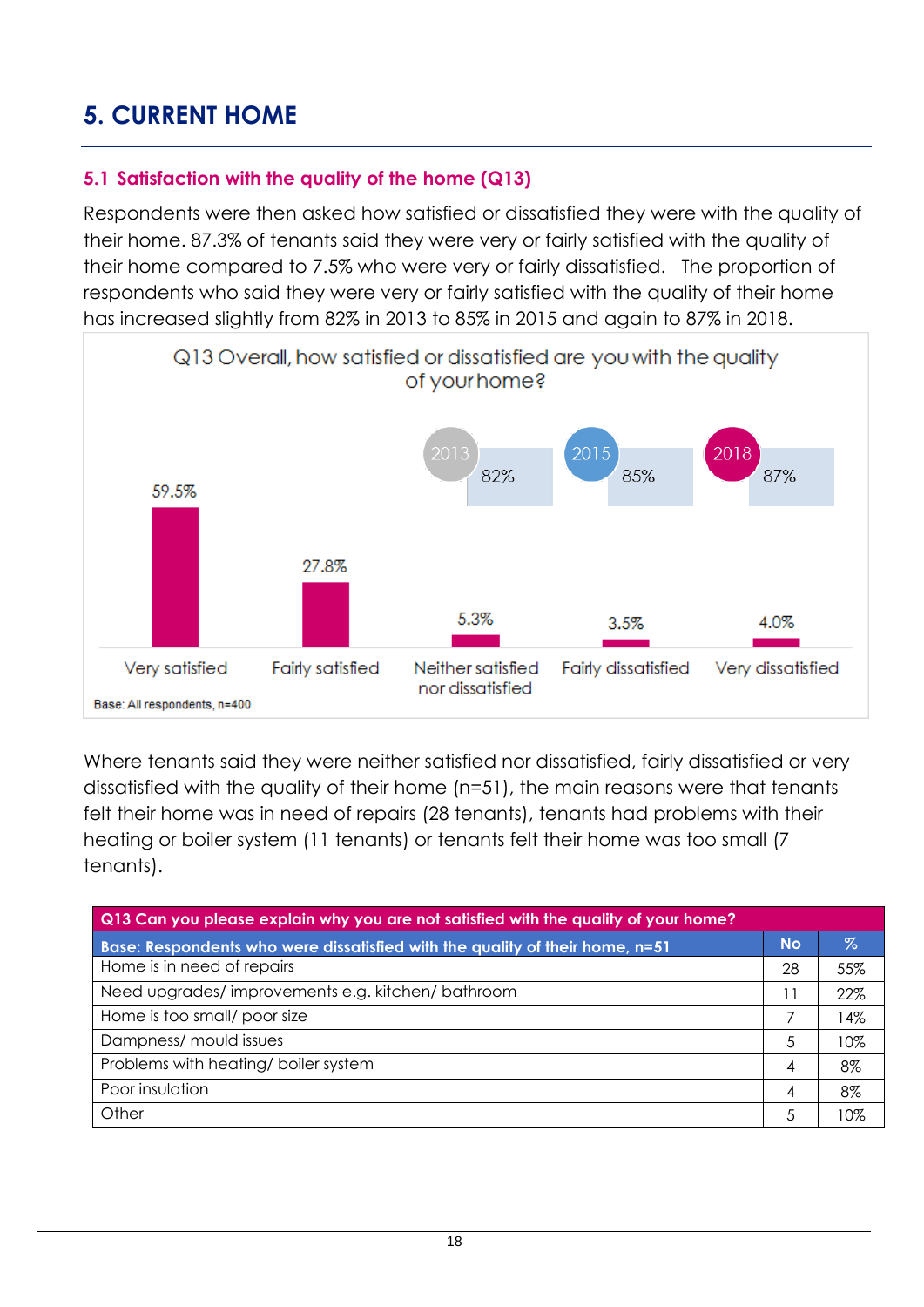### <span id="page-17-0"></span>**5. CURRENT HOME**

#### <span id="page-17-1"></span>**5.1 Satisfaction with the quality of the home (Q13)**

Respondents were then asked how satisfied or dissatisfied they were with the quality of their home. 87.3% of tenants said they were very or fairly satisfied with the quality of their home compared to 7.5% who were very or fairly dissatisfied. The proportion of respondents who said they were very or fairly satisfied with the quality of their home has increased slightly from 82% in 2013 to 85% in 2015 and again to 87% in 2018.



Where tenants said they were neither satisfied nor dissatisfied, fairly dissatisfied or very dissatisfied with the quality of their home (n=51), the main reasons were that tenants felt their home was in need of repairs (28 tenants), tenants had problems with their heating or boiler system (11 tenants) or tenants felt their home was too small (7 tenants).

| Q13 Can you please explain why you are not satisfied with the quality of your home? |           |     |  |  |  |  |
|-------------------------------------------------------------------------------------|-----------|-----|--|--|--|--|
| Base: Respondents who were dissatisfied with the quality of their home, n=51        | <b>No</b> | Z   |  |  |  |  |
| Home is in need of repairs                                                          | 28        | 55% |  |  |  |  |
| Need upgrades/improvements e.g. kitchen/bathroom                                    |           | 22% |  |  |  |  |
| Home is too small/ poor size                                                        |           | 4%  |  |  |  |  |
| Dampness/ mould issues                                                              | 5         | 10% |  |  |  |  |
| Problems with heating/boiler system                                                 | 4         | 8%  |  |  |  |  |
| Poor insulation                                                                     | 4         | 8%  |  |  |  |  |
| Other                                                                               | 5         | 10% |  |  |  |  |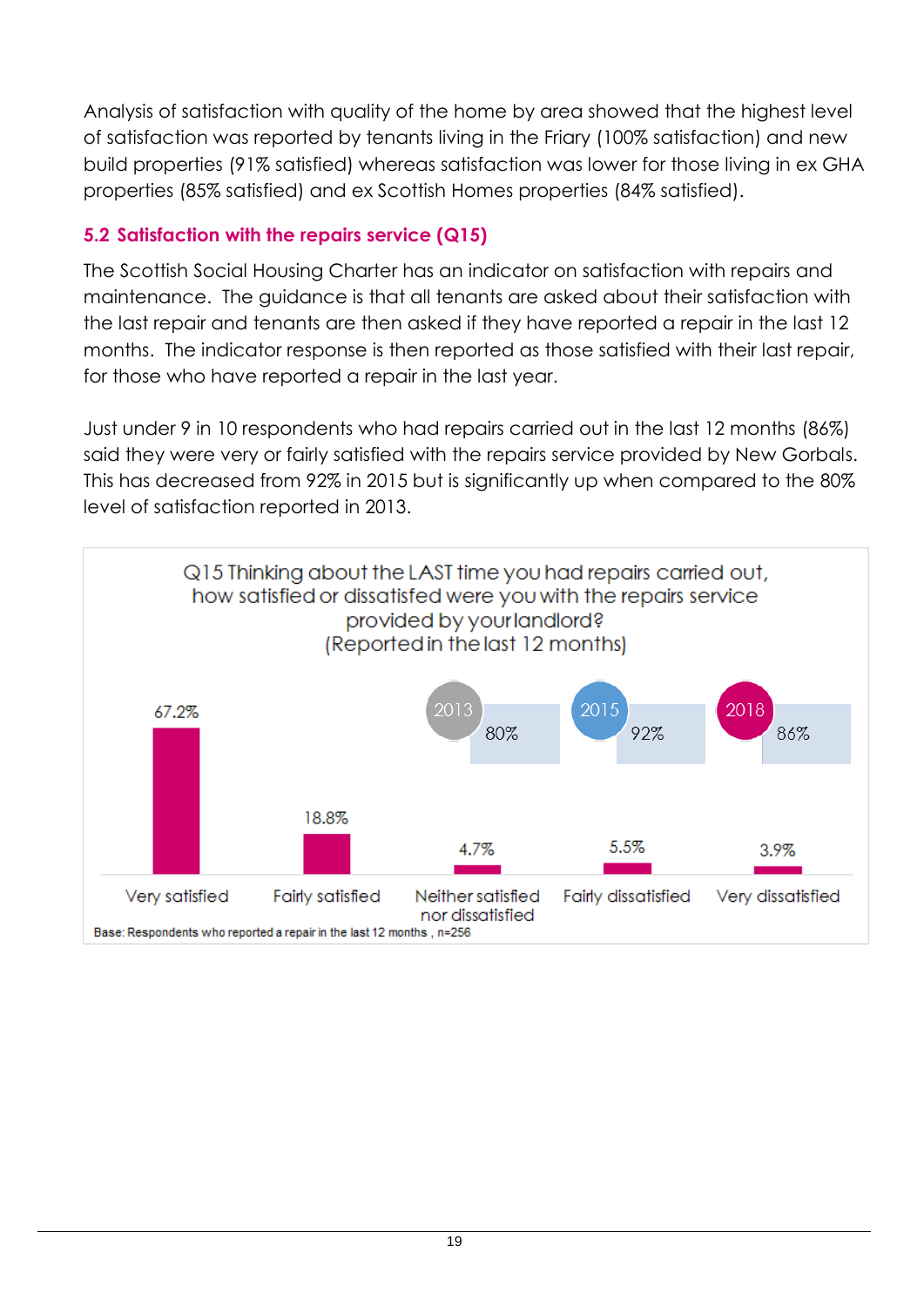Analysis of satisfaction with quality of the home by area showed that the highest level of satisfaction was reported by tenants living in the Friary (100% satisfaction) and new build properties (91% satisfied) whereas satisfaction was lower for those living in ex GHA properties (85% satisfied) and ex Scottish Homes properties (84% satisfied).

#### <span id="page-18-0"></span>**5.2 Satisfaction with the repairs service (Q15)**

The Scottish Social Housing Charter has an indicator on satisfaction with repairs and maintenance. The guidance is that all tenants are asked about their satisfaction with the last repair and tenants are then asked if they have reported a repair in the last 12 months. The indicator response is then reported as those satisfied with their last repair, for those who have reported a repair in the last year.

Just under 9 in 10 respondents who had repairs carried out in the last 12 months (86%) said they were very or fairly satisfied with the repairs service provided by New Gorbals. This has decreased from 92% in 2015 but is significantly up when compared to the 80% level of satisfaction reported in 2013.

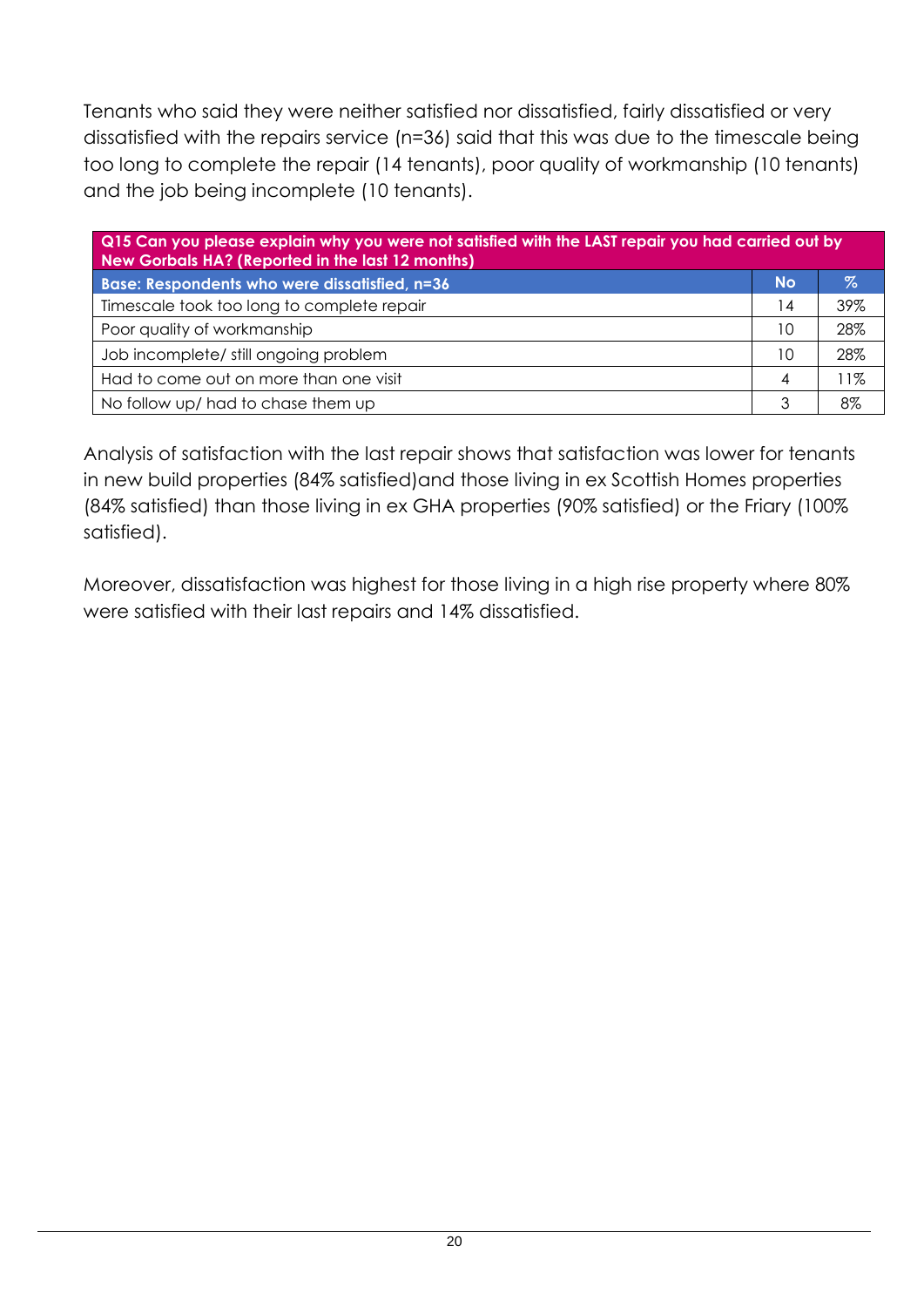Tenants who said they were neither satisfied nor dissatisfied, fairly dissatisfied or very dissatisfied with the repairs service (n=36) said that this was due to the timescale being too long to complete the repair (14 tenants), poor quality of workmanship (10 tenants) and the job being incomplete (10 tenants).

| Q15 Can you please explain why you were not satisfied with the LAST repair you had carried out by<br>New Gorbals HA? (Reported in the last 12 months) |           |      |  |  |
|-------------------------------------------------------------------------------------------------------------------------------------------------------|-----------|------|--|--|
| Base: Respondents who were dissatisfied, n=36                                                                                                         | <b>No</b> | $\%$ |  |  |
| Timescale took too long to complete repair                                                                                                            | 14        | 39%  |  |  |
| Poor quality of workmanship                                                                                                                           | 10        | 28%  |  |  |
| Job incomplete/ still ongoing problem                                                                                                                 | 10        | 28%  |  |  |
| Had to come out on more than one visit                                                                                                                | 4         | 1%   |  |  |
| No follow up/ had to chase them up                                                                                                                    | 3         | 8%   |  |  |

Analysis of satisfaction with the last repair shows that satisfaction was lower for tenants in new build properties (84% satisfied)and those living in ex Scottish Homes properties (84% satisfied) than those living in ex GHA properties (90% satisfied) or the Friary (100% satisfied).

Moreover, dissatisfaction was highest for those living in a high rise property where 80% were satisfied with their last repairs and 14% dissatisfied.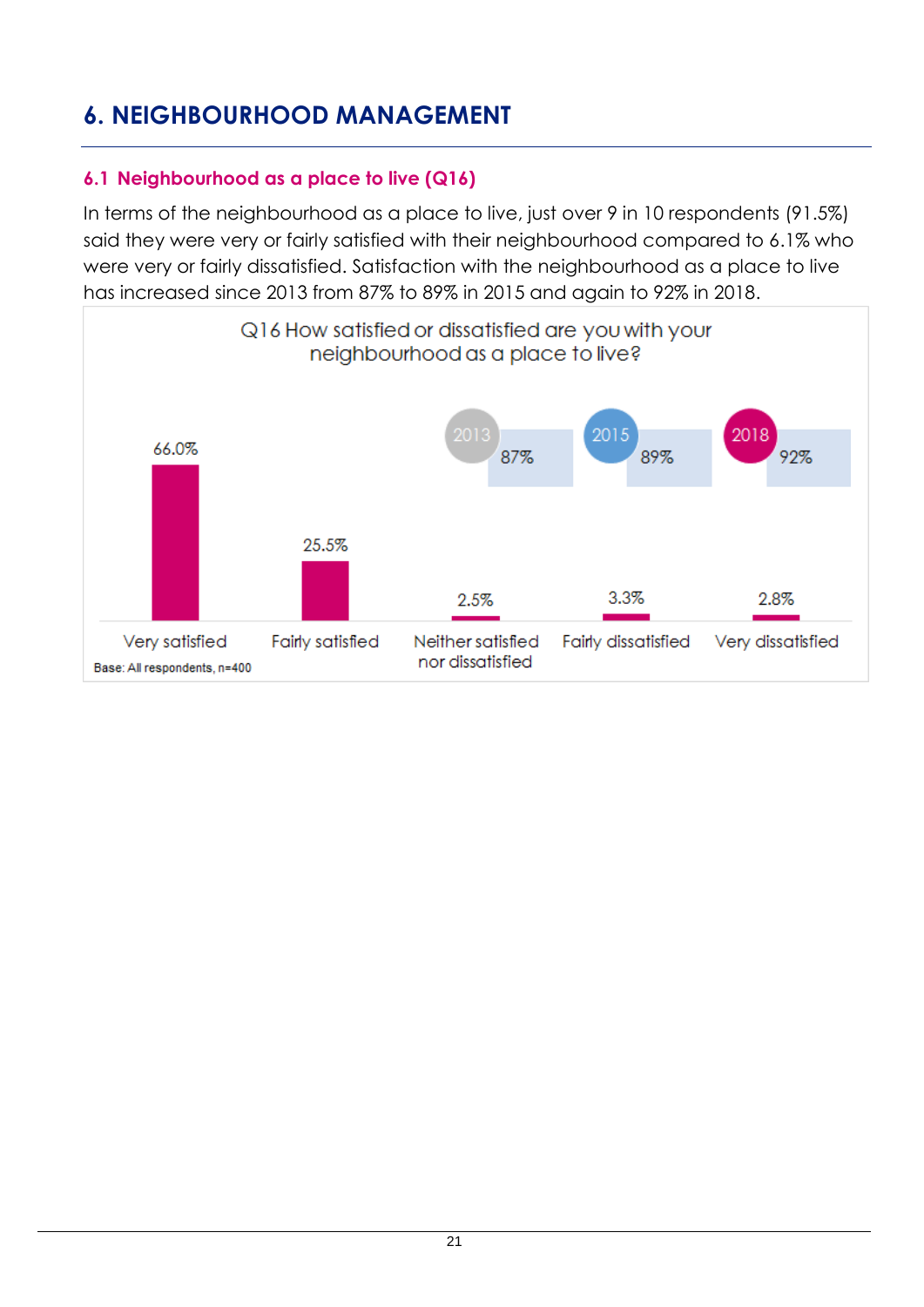### <span id="page-20-0"></span>**6. NEIGHBOURHOOD MANAGEMENT**

#### <span id="page-20-1"></span>**6.1 Neighbourhood as a place to live (Q16)**

In terms of the neighbourhood as a place to live, just over 9 in 10 respondents (91.5%) said they were very or fairly satisfied with their neighbourhood compared to 6.1% who were very or fairly dissatisfied. Satisfaction with the neighbourhood as a place to live has increased since 2013 from 87% to 89% in 2015 and again to 92% in 2018.

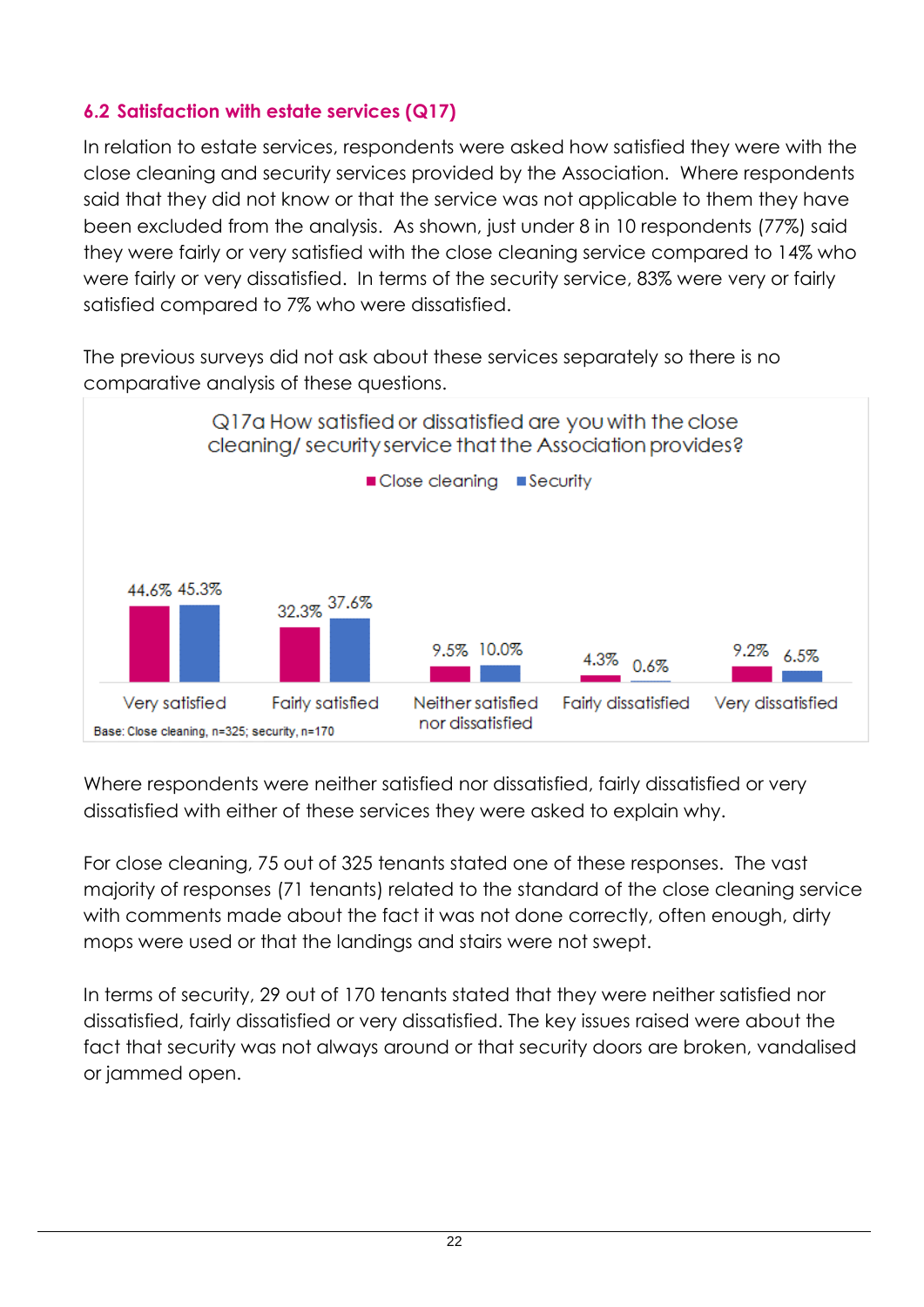#### <span id="page-21-0"></span>**6.2 Satisfaction with estate services (Q17)**

In relation to estate services, respondents were asked how satisfied they were with the close cleaning and security services provided by the Association. Where respondents said that they did not know or that the service was not applicable to them they have been excluded from the analysis. As shown, just under 8 in 10 respondents (77%) said they were fairly or very satisfied with the close cleaning service compared to 14% who were fairly or very dissatisfied. In terms of the security service, 83% were very or fairly satisfied compared to 7% who were dissatisfied.

The previous surveys did not ask about these services separately so there is no comparative analysis of these questions.



Where respondents were neither satisfied nor dissatisfied, fairly dissatisfied or very dissatisfied with either of these services they were asked to explain why.

For close cleaning, 75 out of 325 tenants stated one of these responses. The vast majority of responses (71 tenants) related to the standard of the close cleaning service with comments made about the fact it was not done correctly, often enough, dirty mops were used or that the landings and stairs were not swept.

In terms of security, 29 out of 170 tenants stated that they were neither satisfied nor dissatisfied, fairly dissatisfied or very dissatisfied. The key issues raised were about the fact that security was not always around or that security doors are broken, vandalised or jammed open.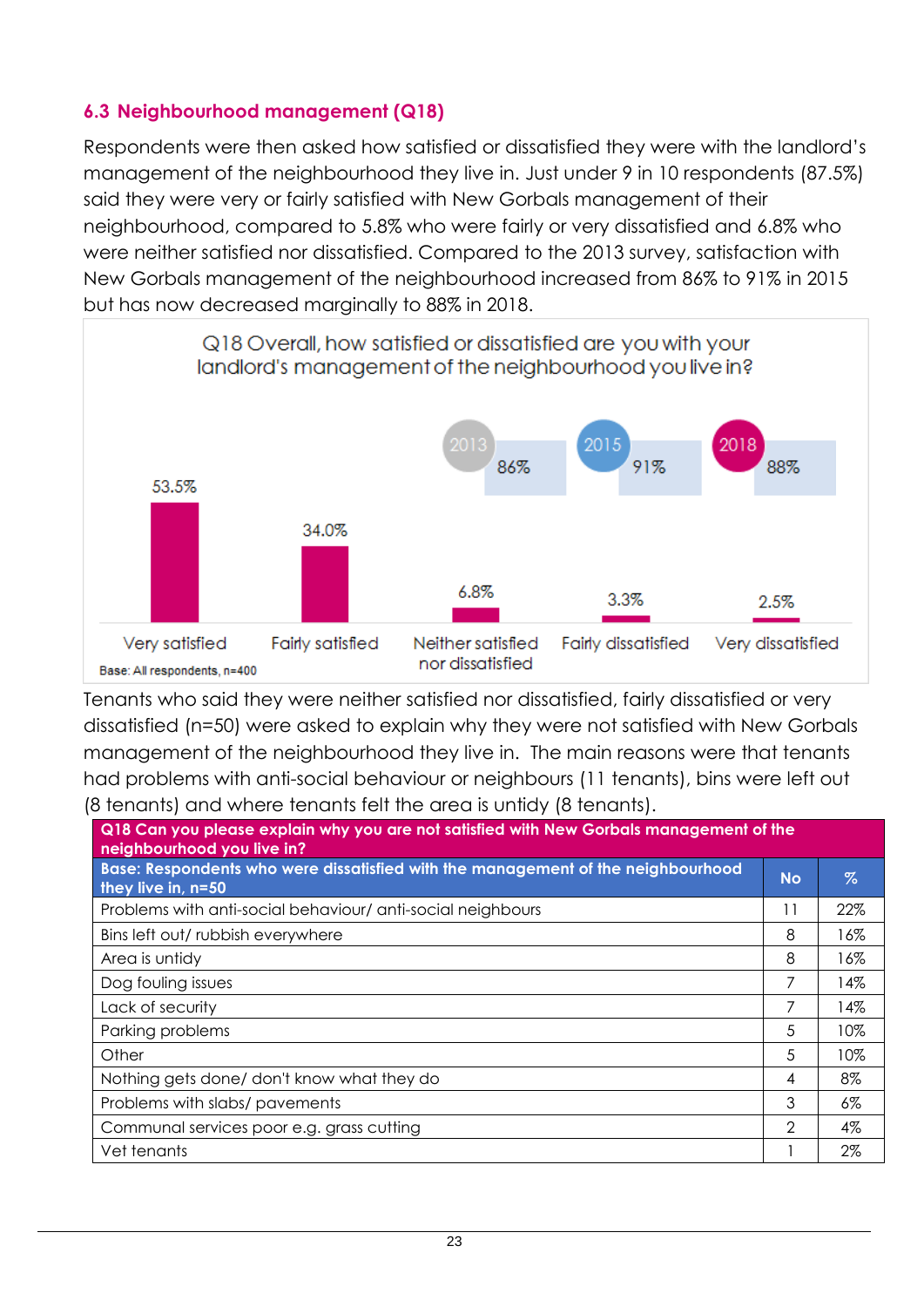#### <span id="page-22-0"></span>**6.3 Neighbourhood management (Q18)**

Respondents were then asked how satisfied or dissatisfied they were with the landlord's management of the neighbourhood they live in. Just under 9 in 10 respondents (87.5%) said they were very or fairly satisfied with New Gorbals management of their neighbourhood, compared to 5.8% who were fairly or very dissatisfied and 6.8% who were neither satisfied nor dissatisfied. Compared to the 2013 survey, satisfaction with New Gorbals management of the neighbourhood increased from 86% to 91% in 2015 but has now decreased marginally to 88% in 2018.



Tenants who said they were neither satisfied nor dissatisfied, fairly dissatisfied or very dissatisfied (n=50) were asked to explain why they were not satisfied with New Gorbals management of the neighbourhood they live in. The main reasons were that tenants had problems with anti-social behaviour or neighbours (11 tenants), bins were left out (8 tenants) and where tenants felt the area is untidy (8 tenants).

| Q18 Can you please explain why you are not satisfied with New Gorbals management of the<br>neighbourhood you live in? |               |       |  |  |  |
|-----------------------------------------------------------------------------------------------------------------------|---------------|-------|--|--|--|
| Base: Respondents who were dissatisfied with the management of the neighbourhood<br>they live in, n=50                | <b>No</b>     | %     |  |  |  |
| Problems with anti-social behaviour/ anti-social neighbours                                                           | 11            | 22%   |  |  |  |
| Bins left out/rubbish everywhere                                                                                      | 8             | 16%   |  |  |  |
| Area is untidy                                                                                                        | 8             | 16%   |  |  |  |
| Dog fouling issues                                                                                                    | 7             | 14%   |  |  |  |
| Lack of security                                                                                                      | 7             | 14%   |  |  |  |
| Parking problems                                                                                                      | 5             | 10%   |  |  |  |
| Other                                                                                                                 | 5             | 10%   |  |  |  |
| Nothing gets done/don't know what they do                                                                             | 4             | 8%    |  |  |  |
| Problems with slabs/pavements                                                                                         | 3             | $6\%$ |  |  |  |
| Communal services poor e.g. grass cutting                                                                             | $\mathcal{D}$ | 4%    |  |  |  |
| Vet tenants                                                                                                           |               | 2%    |  |  |  |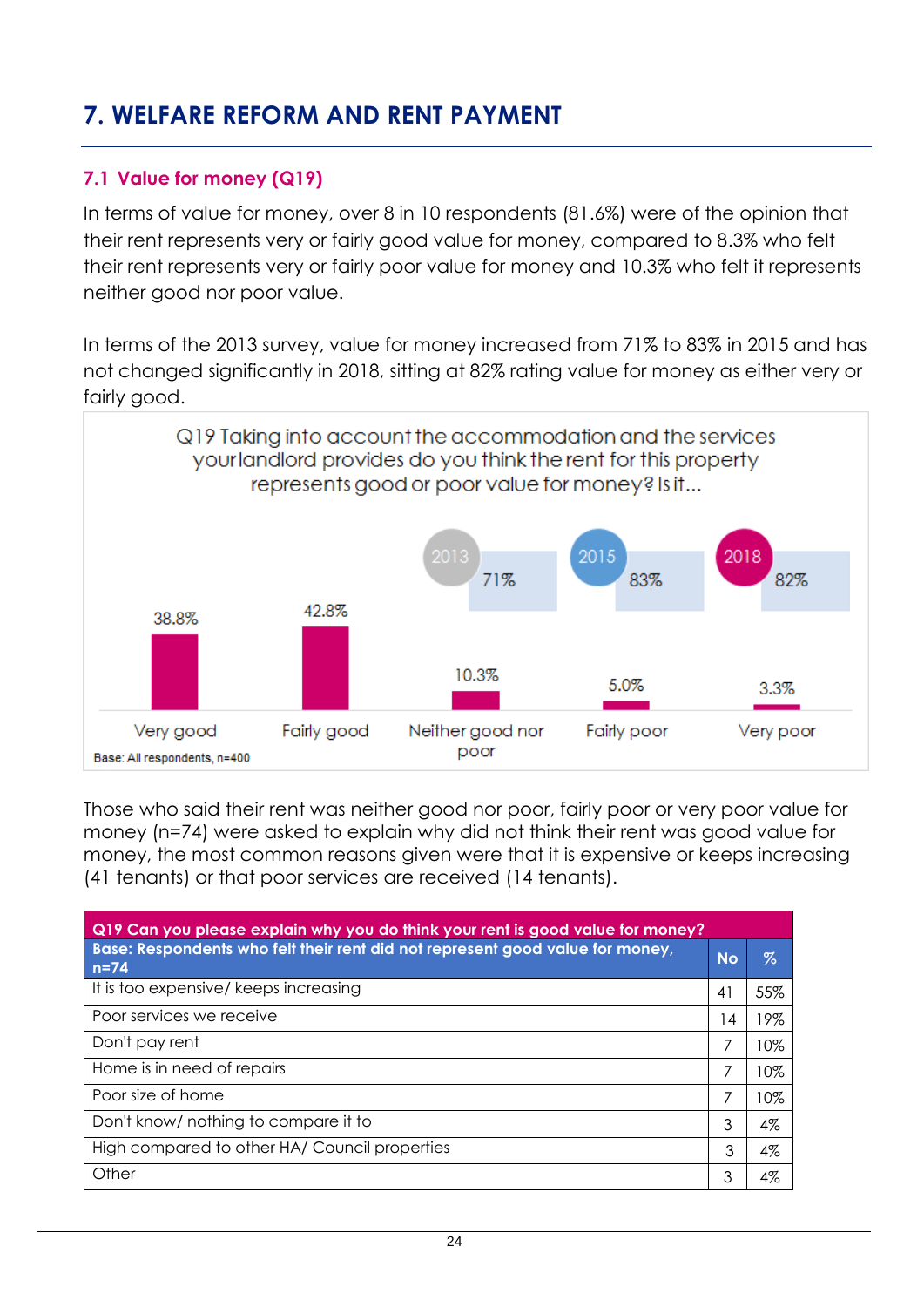### <span id="page-23-0"></span>**7. WELFARE REFORM AND RENT PAYMENT**

#### <span id="page-23-1"></span>**7.1 Value for money (Q19)**

In terms of value for money, over 8 in 10 respondents (81.6%) were of the opinion that their rent represents very or fairly good value for money, compared to 8.3% who felt their rent represents very or fairly poor value for money and 10.3% who felt it represents neither good nor poor value.

In terms of the 2013 survey, value for money increased from 71% to 83% in 2015 and has not changed significantly in 2018, sitting at 82% rating value for money as either very or fairly good.



Those who said their rent was neither good nor poor, fairly poor or very poor value for money (n=74) were asked to explain why did not think their rent was good value for money, the most common reasons given were that it is expensive or keeps increasing (41 tenants) or that poor services are received (14 tenants).

| Q19 Can you please explain why you do think your rent is good value for money?            |                 |     |  |  |  |  |
|-------------------------------------------------------------------------------------------|-----------------|-----|--|--|--|--|
| Base: Respondents who felt their rent did not represent good value for money,<br>$n = 74$ | <b>No</b>       | %   |  |  |  |  |
| It is too expensive/ keeps increasing                                                     | 41              | 55% |  |  |  |  |
| Poor services we receive                                                                  | $\overline{14}$ | 19% |  |  |  |  |
| Don't pay rent                                                                            | 7               | 10% |  |  |  |  |
| Home is in need of repairs                                                                | 7               | 10% |  |  |  |  |
| Poor size of home                                                                         | 7               | 10% |  |  |  |  |
| Don't know/ nothing to compare it to                                                      | 3               | 4%  |  |  |  |  |
| High compared to other HA/Council properties                                              | 3               | 4%  |  |  |  |  |
| Other                                                                                     | 3               | 4%  |  |  |  |  |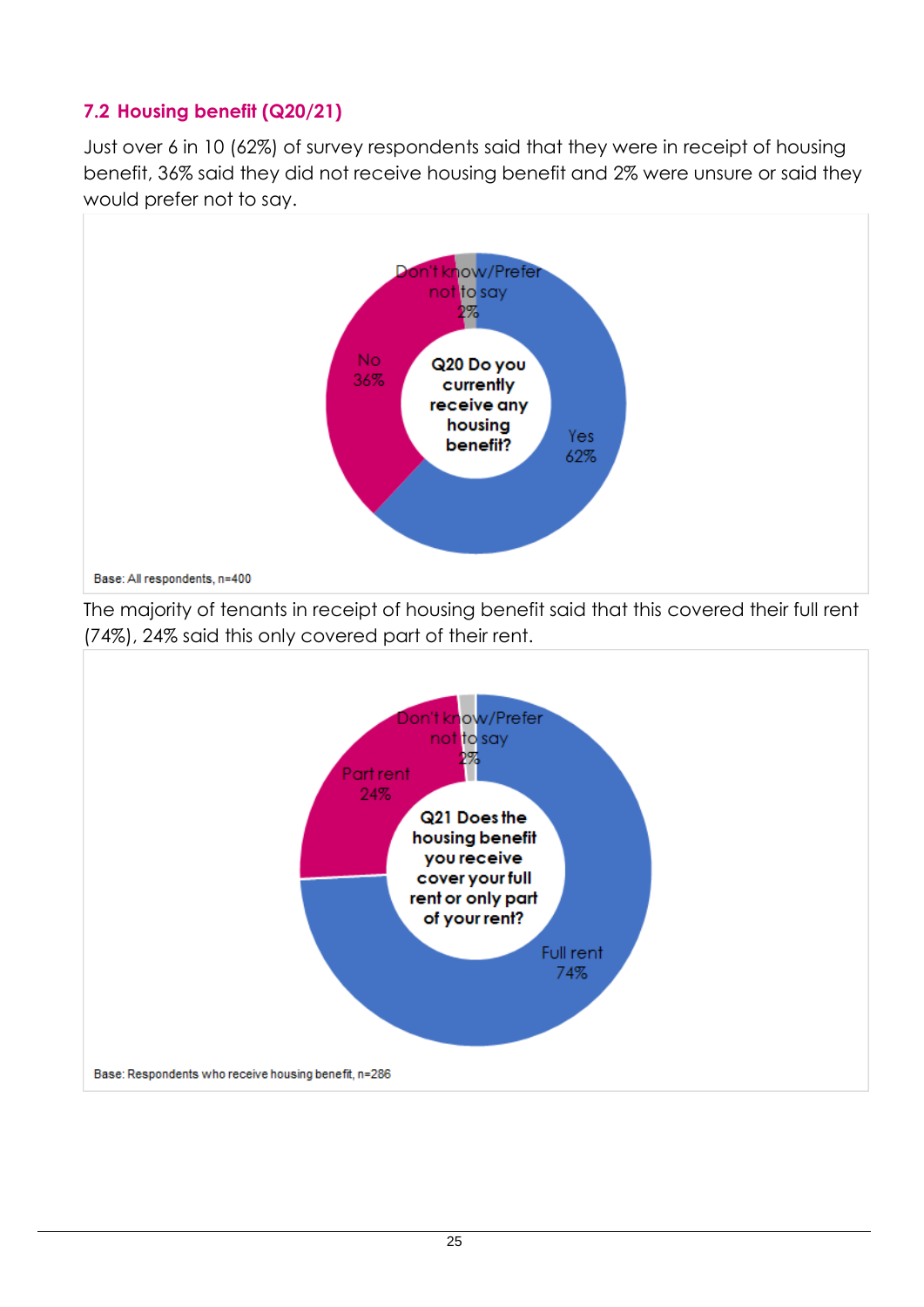#### <span id="page-24-0"></span>**7.2 Housing benefit (Q20/21)**

Just over 6 in 10 (62%) of survey respondents said that they were in receipt of housing benefit, 36% said they did not receive housing benefit and 2% were unsure or said they would prefer not to say.



The majority of tenants in receipt of housing benefit said that this covered their full rent (74%), 24% said this only covered part of their rent.

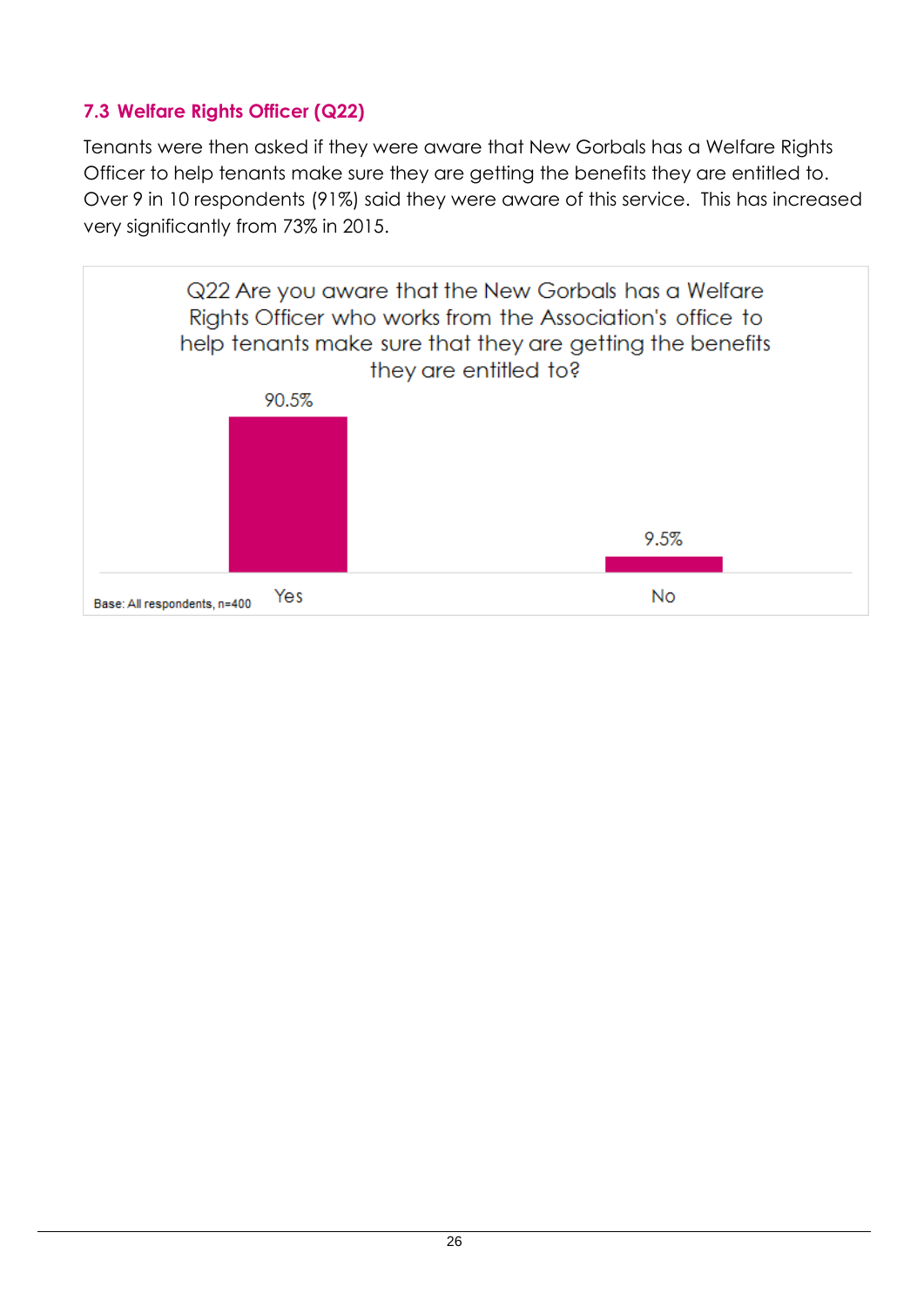#### <span id="page-25-0"></span>**7.3 Welfare Rights Officer (Q22)**

Tenants were then asked if they were aware that New Gorbals has a Welfare Rights Officer to help tenants make sure they are getting the benefits they are entitled to. Over 9 in 10 respondents (91%) said they were aware of this service. This has increased very significantly from 73% in 2015.

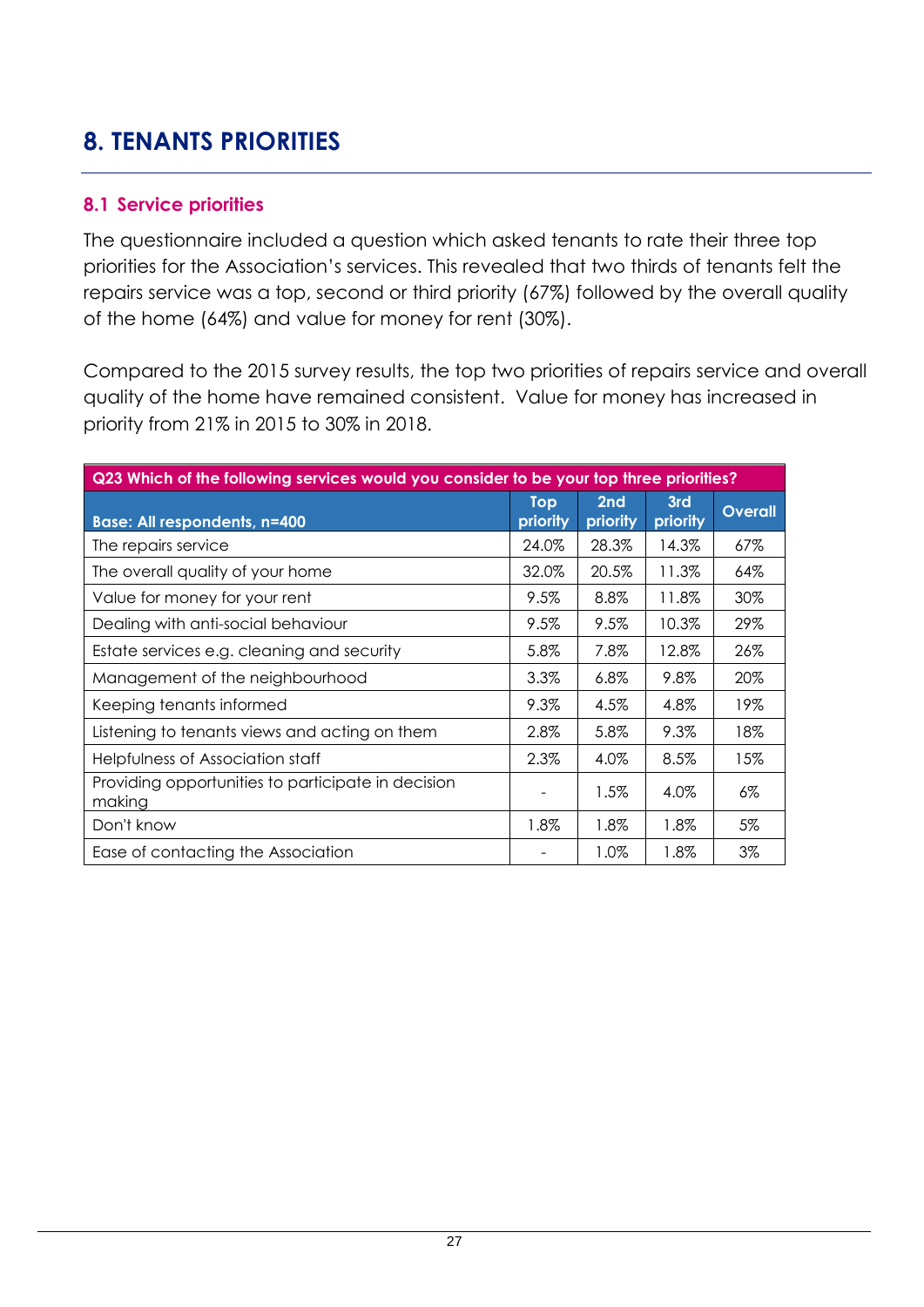### <span id="page-26-0"></span>**8. TENANTS PRIORITIES**

#### <span id="page-26-1"></span>**8.1 Service priorities**

The questionnaire included a question which asked tenants to rate their three top priorities for the Association's services. This revealed that two thirds of tenants felt the repairs service was a top, second or third priority (67%) followed by the overall quality of the home (64%) and value for money for rent (30%).

Compared to the 2015 survey results, the top two priorities of repairs service and overall quality of the home have remained consistent. Value for money has increased in priority from 21% in 2015 to 30% in 2018.

| Q23 Which of the following services would you consider to be your top three priorities? |                        |                 |                 |                |  |  |  |
|-----------------------------------------------------------------------------------------|------------------------|-----------------|-----------------|----------------|--|--|--|
| <b>Base: All respondents, n=400</b>                                                     | <b>Top</b><br>priority | 2nd<br>priority | 3rd<br>priority | <b>Overall</b> |  |  |  |
| The repairs service                                                                     | 24.0%                  | 28.3%           | 14.3%           | 67%            |  |  |  |
| The overall quality of your home                                                        | 32.0%                  | 20.5%           | 11.3%           | 64%            |  |  |  |
| Value for money for your rent                                                           | 9.5%                   | 8.8%            | 11.8%           | 30%            |  |  |  |
| Dealing with anti-social behaviour                                                      | 9.5%                   | 9.5%            | 10.3%           | 29%            |  |  |  |
| Estate services e.g. cleaning and security                                              | 5.8%                   | 7.8%            | 12.8%           | 26%            |  |  |  |
| Management of the neighbourhood                                                         | 3.3%                   | $6.8\%$         | 9.8%            | 20%            |  |  |  |
| Keeping tenants informed                                                                | 9.3%                   | 4.5%            | 4.8%            | 19%            |  |  |  |
| Listening to tenants views and acting on them                                           | 2.8%                   | 5.8%            | 9.3%            | 18%            |  |  |  |
| Helpfulness of Association staff                                                        | 2.3%                   | 4.0%            | 8.5%            | 15%            |  |  |  |
| Providing opportunities to participate in decision<br>making                            |                        | 1.5%            | 4.0%            | 6%             |  |  |  |
| Don't know                                                                              | $1.8\%$                | $1.8\%$         | 1.8%            | 5%             |  |  |  |
| Ease of contacting the Association                                                      |                        | 1.0%            | 1.8%            | 3%             |  |  |  |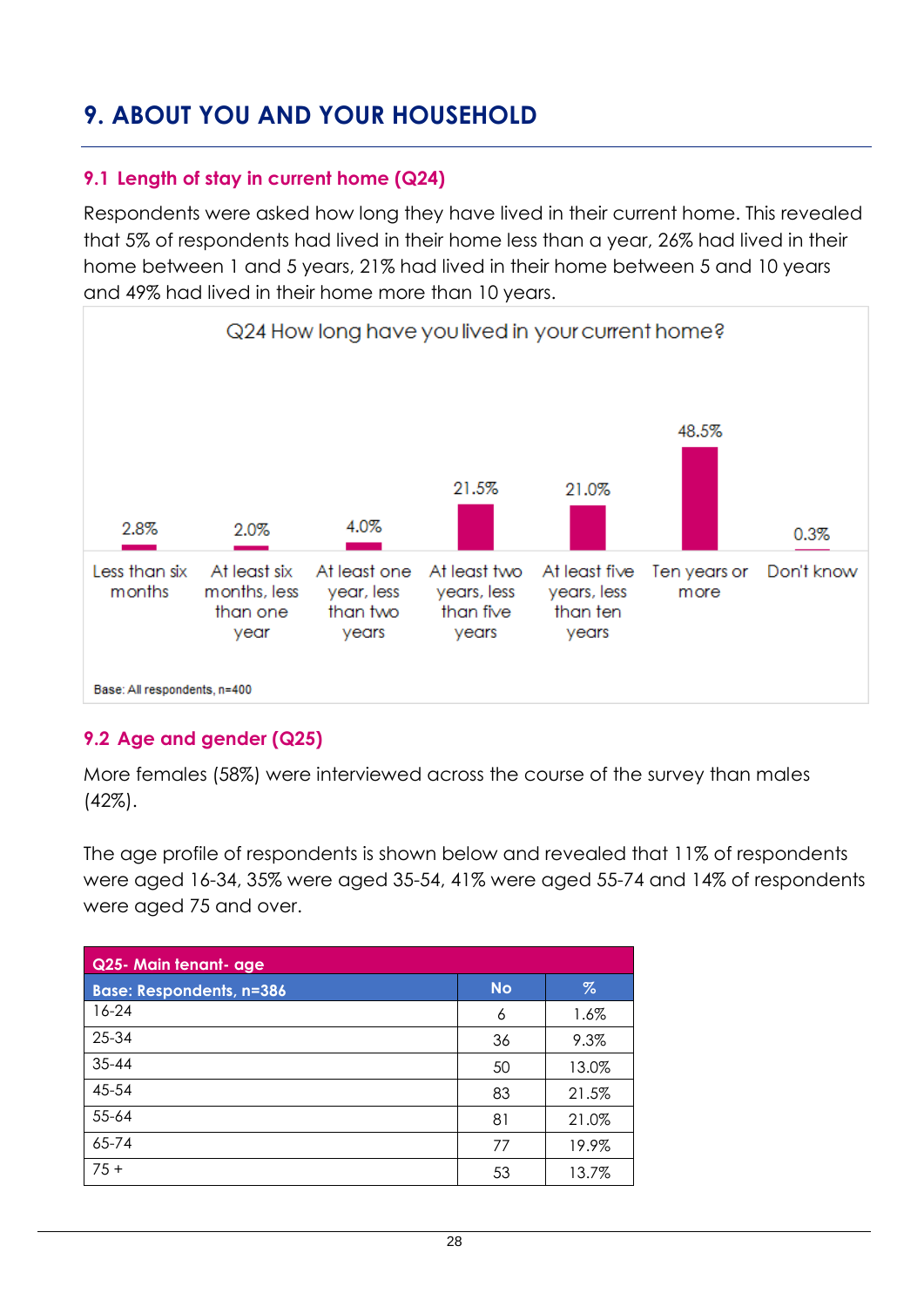### <span id="page-27-0"></span>**9. ABOUT YOU AND YOUR HOUSEHOLD**

#### <span id="page-27-1"></span>**9.1 Length of stay in current home (Q24)**

Respondents were asked how long they have lived in their current home. This revealed that 5% of respondents had lived in their home less than a year, 26% had lived in their home between 1 and 5 years, 21% had lived in their home between 5 and 10 years and 49% had lived in their home more than 10 years.



#### <span id="page-27-2"></span>**9.2 Age and gender (Q25)**

More females (58%) were interviewed across the course of the survey than males (42%).

The age profile of respondents is shown below and revealed that 11% of respondents were aged 16-34, 35% were aged 35-54, 41% were aged 55-74 and 14% of respondents were aged 75 and over.

| Q25- Main tenant- age           |           |       |  |  |  |
|---------------------------------|-----------|-------|--|--|--|
| <b>Base: Respondents, n=386</b> | <b>No</b> | $\%$  |  |  |  |
| $16-24$                         | 6         | 1.6%  |  |  |  |
| 25-34                           | 36        | 9.3%  |  |  |  |
| 35-44                           | 50        | 13.0% |  |  |  |
| 45-54                           | 83        | 21.5% |  |  |  |
| 55-64                           | 81        | 21.0% |  |  |  |
| 65-74                           | 77        | 19.9% |  |  |  |
| $75+$                           | 53        | 13.7% |  |  |  |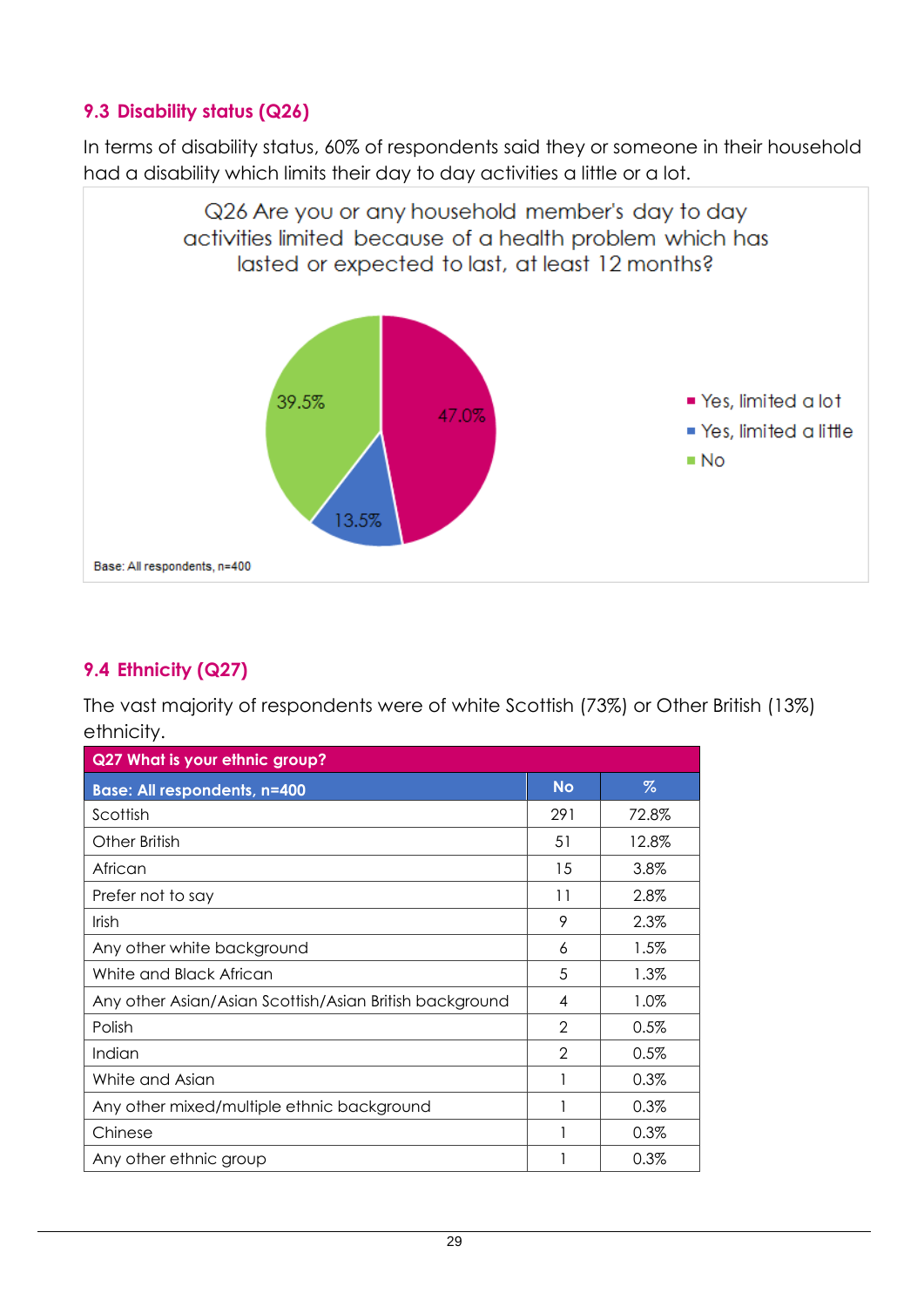#### <span id="page-28-0"></span>**9.3 Disability status (Q26)**

In terms of disability status, 60% of respondents said they or someone in their household had a disability which limits their day to day activities a little or a lot.



#### <span id="page-28-1"></span>**9.4 Ethnicity (Q27)**

The vast majority of respondents were of white Scottish (73%) or Other British (13%) ethnicity.

| Q27 What is your ethnic group?                          |                |         |  |  |  |  |
|---------------------------------------------------------|----------------|---------|--|--|--|--|
| <b>Base: All respondents, n=400</b>                     | <b>No</b>      | $\%$    |  |  |  |  |
| Scottish                                                | 291            | 72.8%   |  |  |  |  |
| Other British                                           | 51             | 12.8%   |  |  |  |  |
| African                                                 | 15             | 3.8%    |  |  |  |  |
| Prefer not to say                                       | 11             | 2.8%    |  |  |  |  |
| <b>Irish</b>                                            | 9              | 2.3%    |  |  |  |  |
| Any other white background                              | 6              | $1.5\%$ |  |  |  |  |
| White and Black African                                 | 5              | 1.3%    |  |  |  |  |
| Any other Asian/Asian Scottish/Asian British background | 4              | 1.0%    |  |  |  |  |
| Polish                                                  | $\mathfrak{D}$ | 0.5%    |  |  |  |  |
| Indian                                                  | $\mathcal{P}$  | 0.5%    |  |  |  |  |
| White and Asian                                         |                | 0.3%    |  |  |  |  |
| Any other mixed/multiple ethnic background              |                | 0.3%    |  |  |  |  |
| Chinese                                                 |                | 0.3%    |  |  |  |  |
| Any other ethnic group                                  |                | 0.3%    |  |  |  |  |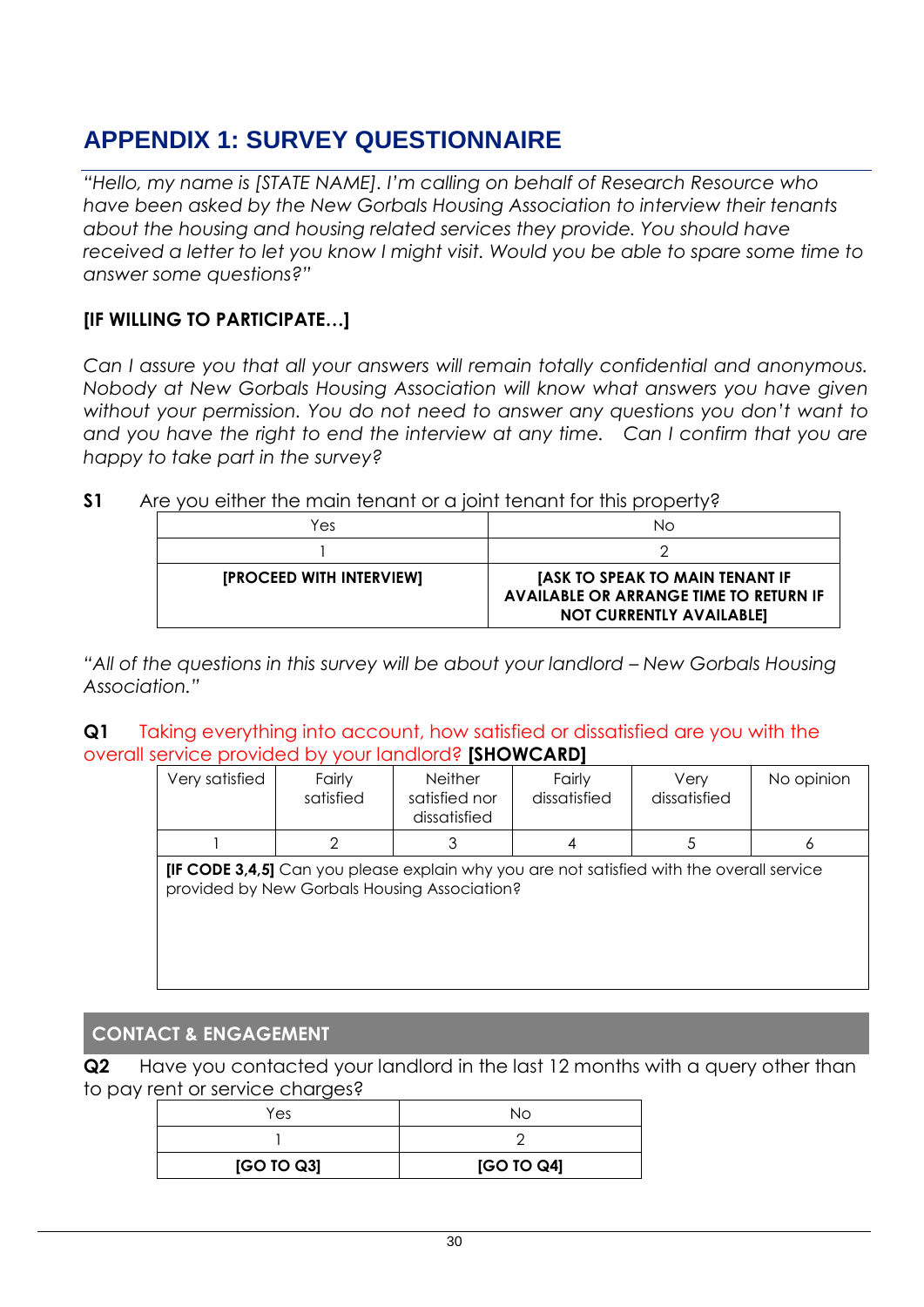### <span id="page-29-0"></span>**APPENDIX 1: SURVEY QUESTIONNAIRE**

*"Hello, my name is [STATE NAME]. I'm calling on behalf of Research Resource who have been asked by the New Gorbals Housing Association to interview their tenants about the housing and housing related services they provide. You should have received a letter to let you know I might visit. Would you be able to spare some time to answer some questions?"*

#### **[IF WILLING TO PARTICIPATE…]**

*Can I assure you that all your answers will remain totally confidential and anonymous. Nobody at New Gorbals Housing Association will know what answers you have given without your permission. You do not need to answer any questions you don't want to and you have the right to end the interview at any time. Can I confirm that you are happy to take part in the survey?*

| S <sub>1</sub> |  |  |  |  |  | Are you either the main tenant or a joint tenant for this property? |  |  |
|----------------|--|--|--|--|--|---------------------------------------------------------------------|--|--|
|----------------|--|--|--|--|--|---------------------------------------------------------------------|--|--|

| Yes                      | NΟ                                                                                                                         |
|--------------------------|----------------------------------------------------------------------------------------------------------------------------|
|                          |                                                                                                                            |
| [PROCEED WITH INTERVIEW] | <b>IASK TO SPEAK TO MAIN TENANT IF</b><br><b>AVAILABLE OR ARRANGE TIME TO RETURN IF</b><br><b>NOT CURRENTLY AVAILABLE]</b> |

*"All of the questions in this survey will be about your landlord - New Gorbals Housing Association."*

**Q1** Taking everything into account, how satisfied or dissatisfied are you with the overall service provided by your landlord? **[SHOWCARD]**

| Very satisfied                                                                                   | Fairly<br>satisfied | <b>Neither</b><br>satisfied nor<br>dissatisfied | Fairly<br>dissatisfied | Verv<br>dissatisfied | No opinion |
|--------------------------------------------------------------------------------------------------|---------------------|-------------------------------------------------|------------------------|----------------------|------------|
|                                                                                                  |                     |                                                 |                        |                      |            |
| <b>IIF CODE 3.4.51</b> Can you please explain why you are not satisfied with the overall service |                     |                                                 |                        |                      |            |

**[IF CODE 3,4,5]** Can you please explain why you are not satisfied with the overall service provided by New Gorbals Housing Association?

#### **CONTACT & ENGAGEMENT**

**Q2** Have you contacted your landlord in the last 12 months with a query other than to pay rent or service charges?

| Yes        | NΩ         |
|------------|------------|
|            |            |
| [GO TO Q3] | [GO TO Q4] |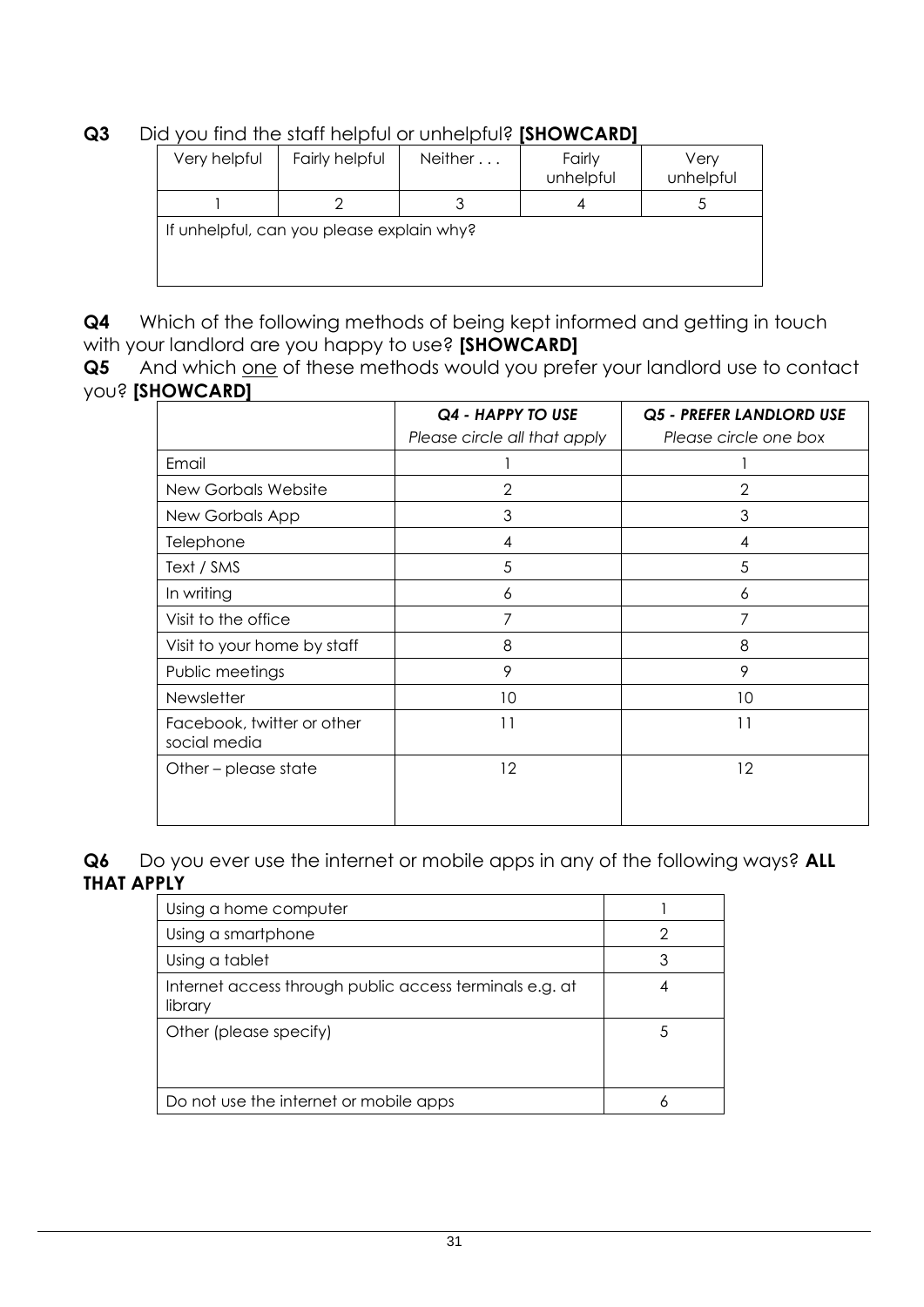**Q3** Did you find the staff helpful or unhelpful? **[SHOWCARD]** 

| Very helpful | Fairly helpful                            | Neither | Fairly<br>unhelpful | Very<br>unhelpful |
|--------------|-------------------------------------------|---------|---------------------|-------------------|
|              |                                           |         |                     |                   |
|              | If unhelpful, can you please explain why? |         |                     |                   |

**Q4** Which of the following methods of being kept informed and getting in touch with your landlord are you happy to use? **[SHOWCARD]**

**Q5** And which one of these methods would you prefer your landlord use to contact you? **[SHOWCARD]**

|                                            | Q4 - HAPPY TO USE<br>Please circle all that apply | Q5 - PREFER LANDLORD USE<br>Please circle one box |
|--------------------------------------------|---------------------------------------------------|---------------------------------------------------|
| Email                                      |                                                   |                                                   |
| <b>New Gorbals Website</b>                 | 2                                                 | 2                                                 |
| New Gorbals App                            | 3                                                 | 3                                                 |
| Telephone                                  | 4                                                 | 4                                                 |
| Text / SMS                                 | 5                                                 | 5                                                 |
| In writing                                 | 6                                                 | 6                                                 |
| Visit to the office                        | 7                                                 | 7                                                 |
| Visit to your home by staff                | 8                                                 | 8                                                 |
| Public meetings                            | 9                                                 | 9                                                 |
| Newsletter                                 | 10                                                | 10                                                |
| Facebook, twitter or other<br>social media | 11                                                | 11                                                |
| Other – please state                       | 12                                                | 12                                                |

**Q6** Do you ever use the internet or mobile apps in any of the following ways? **ALL THAT APPLY**

| Using a home computer                                              |  |
|--------------------------------------------------------------------|--|
| Using a smartphone                                                 |  |
| Using a tablet                                                     |  |
| Internet access through public access terminals e.g. at<br>library |  |
| Other (please specify)                                             |  |
| Do not use the internet or mobile apps                             |  |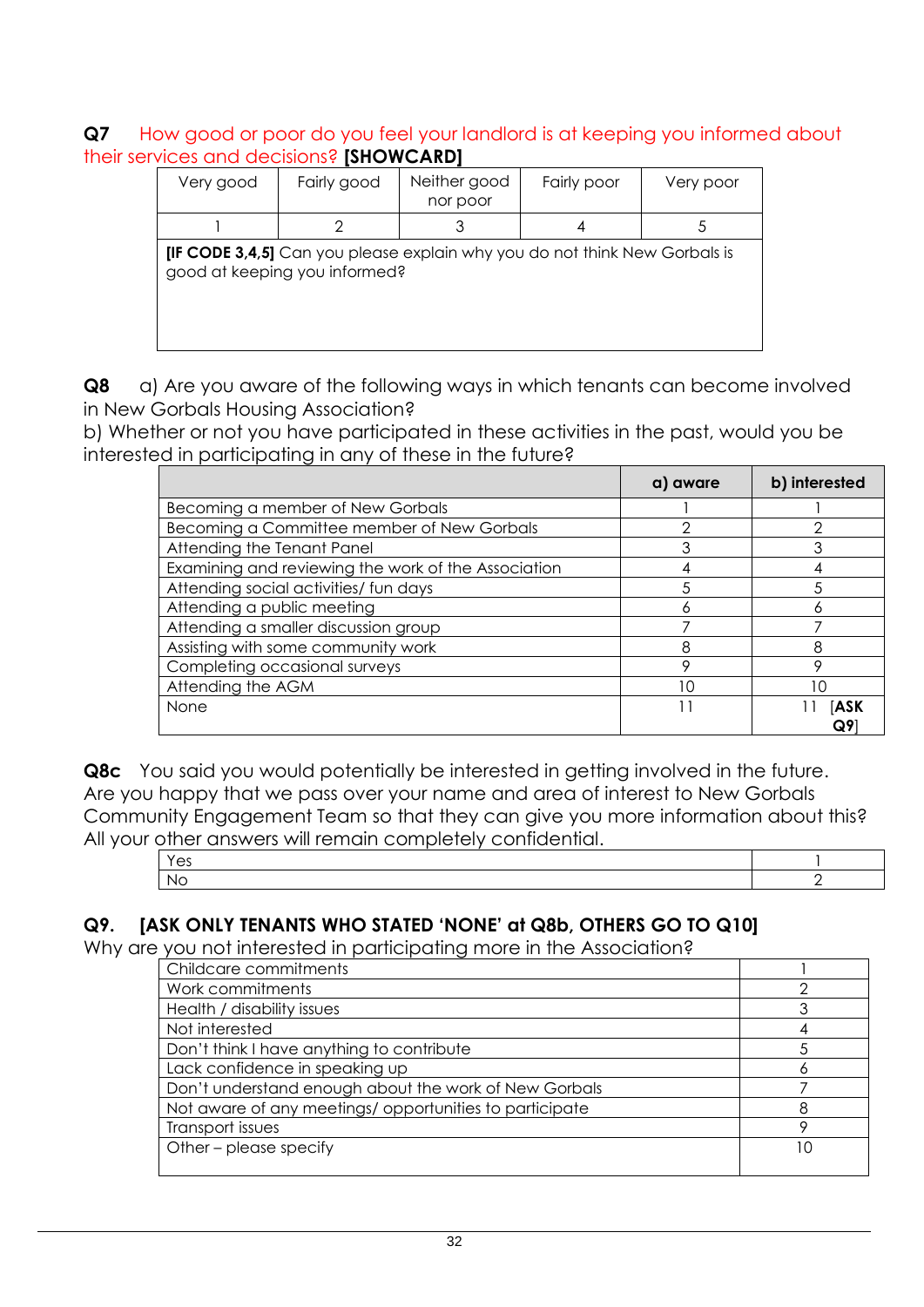#### **Q7** How good or poor do you feel your landlord is at keeping you informed about their services and decisions? **[SHOWCARD]**

| Very good | Fairly good                   | Neither good<br>nor poor                                                          | Fairly poor | Very poor |
|-----------|-------------------------------|-----------------------------------------------------------------------------------|-------------|-----------|
|           |                               |                                                                                   |             |           |
|           | good at keeping you informed? | <b>[IF CODE 3,4,5]</b> Can you please explain why you do not think New Gorbals is |             |           |

**Q8** a) Are you aware of the following ways in which tenants can become involved in New Gorbals Housing Association?

b) Whether or not you have participated in these activities in the past, would you be interested in participating in any of these in the future?

|                                                     | a) aware | b) interested |
|-----------------------------------------------------|----------|---------------|
| Becoming a member of New Gorbals                    |          |               |
| Becoming a Committee member of New Gorbals          | ∩        | ◠             |
| Attending the Tenant Panel                          | 3        |               |
| Examining and reviewing the work of the Association |          |               |
| Attending social activities/ fun days               |          |               |
| Attending a public meeting                          | Ô        |               |
| Attending a smaller discussion group                |          |               |
| Assisting with some community work                  | 8        | 8             |
| Completing occasional surveys                       | Ω        |               |
| Attending the AGM                                   | 10       |               |
| None                                                |          | [ASK          |
|                                                     |          | Q9            |

**Q8c** You said you would potentially be interested in getting involved in the future. Are you happy that we pass over your name and area of interest to New Gorbals Community Engagement Team so that they can give you more information about this? All your other answers will remain completely confidential.

| <b>UNION CONTRACTOR CONTROLLING CONTROLLING</b> |  |
|-------------------------------------------------|--|
|                                                 |  |
| N.                                              |  |

#### **Q9. [ASK ONLY TENANTS WHO STATED 'NONE' at Q8b, OTHERS GO TO Q10]**

Why are you not interested in participating more in the Association?

| Childcare commitments                                  |    |
|--------------------------------------------------------|----|
| Work commitments                                       |    |
| Health / disability issues                             |    |
| Not interested                                         |    |
| Don't think I have anything to contribute              |    |
| Lack confidence in speaking up                         |    |
| Don't understand enough about the work of New Gorbals  |    |
| Not aware of any meetings/opportunities to participate |    |
| Transport issues                                       |    |
| Other - please specify                                 | 10 |
|                                                        |    |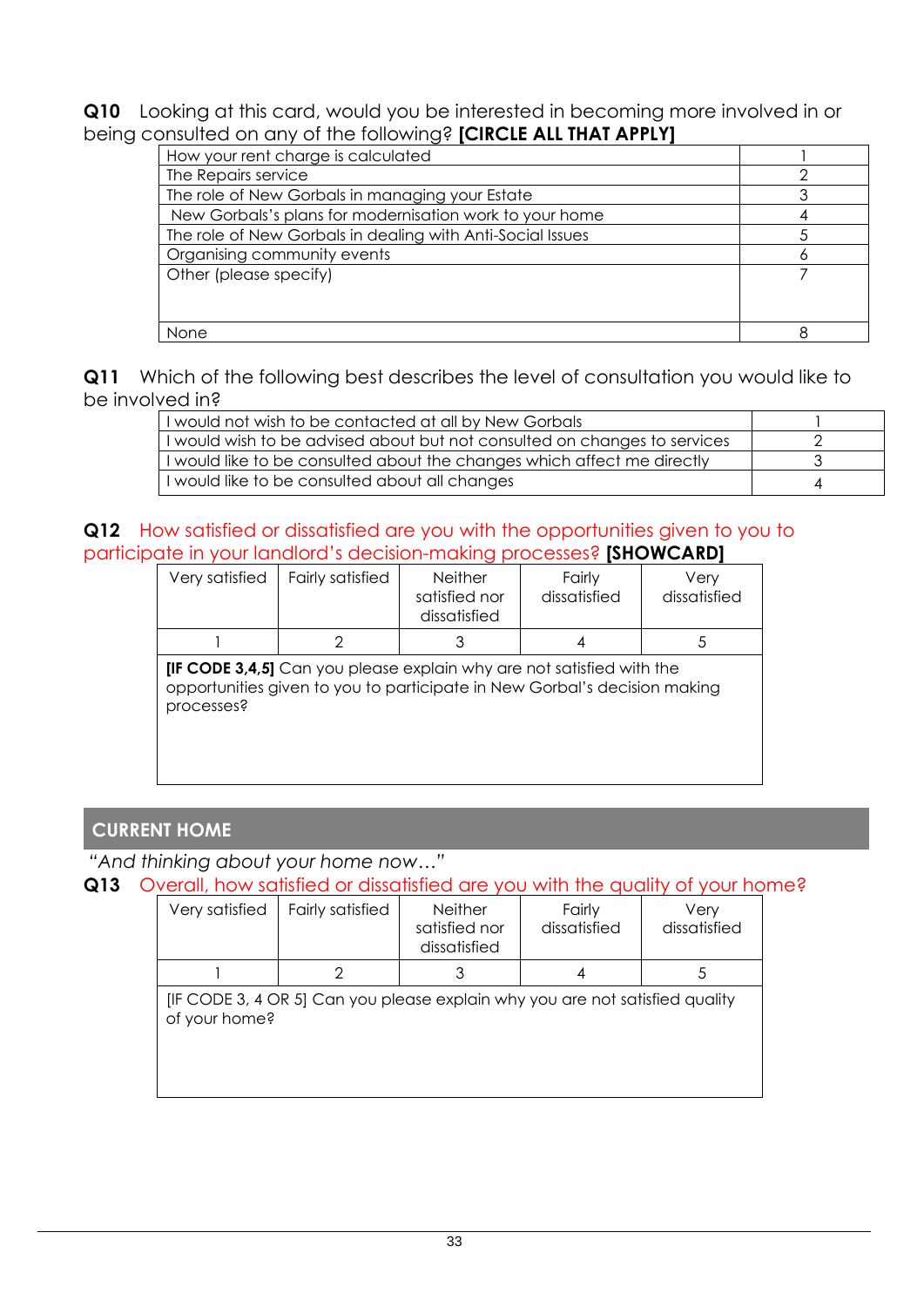**Q10** Looking at this card, would you be interested in becoming more involved in or being consulted on any of the following? **[CIRCLE ALL THAT APPLY]** 

| How your rent charge is calculated                         |  |
|------------------------------------------------------------|--|
| The Repairs service                                        |  |
| The role of New Gorbals in managing your Estate            |  |
| New Gorbals's plans for modernisation work to your home    |  |
| The role of New Gorbals in dealing with Anti-Social Issues |  |
| Organising community events                                |  |
| Other (please specify)                                     |  |
|                                                            |  |
|                                                            |  |
| None                                                       |  |

**Q11** Which of the following best describes the level of consultation you would like to be involved in?

| I would not wish to be contacted at all by New Gorbals                    |  |
|---------------------------------------------------------------------------|--|
| I would wish to be advised about but not consulted on changes to services |  |
| I would like to be consulted about the changes which affect me directly   |  |
| I would like to be consulted about all changes                            |  |

#### **Q12** How satisfied or dissatisfied are you with the opportunities given to you to participate in your landlord's decision-making processes? **[SHOWCARD]**

| Very satisfied                                                                                                                                                          | <b>Fairly satisfied</b> | <b>Neither</b><br>satisfied nor<br>dissatisfied | Fairly<br>dissatisfied | Very<br>dissatisfied |
|-------------------------------------------------------------------------------------------------------------------------------------------------------------------------|-------------------------|-------------------------------------------------|------------------------|----------------------|
|                                                                                                                                                                         | 2                       | 3                                               | 4                      | 5.                   |
| <b>[IF CODE 3,4,5]</b> Can you please explain why are not satisfied with the<br>opportunities given to you to participate in New Gorbal's decision making<br>processes? |                         |                                                 |                        |                      |

#### **CURRENT HOME**

#### *"And thinking about your home now…"*

#### **Q13** Overall, how satisfied or dissatisfied are you with the quality of your home?

| Very satisfied | Fairly satisfied                                                             | <b>Neither</b><br>satisfied nor<br>dissatisfied | Fairly<br>dissatisfied | Very<br>dissatisfied |
|----------------|------------------------------------------------------------------------------|-------------------------------------------------|------------------------|----------------------|
|                | 2                                                                            | 3                                               |                        |                      |
| of your home?  | [IF CODE 3, 4 OR 5] Can you please explain why you are not satisfied quality |                                                 |                        |                      |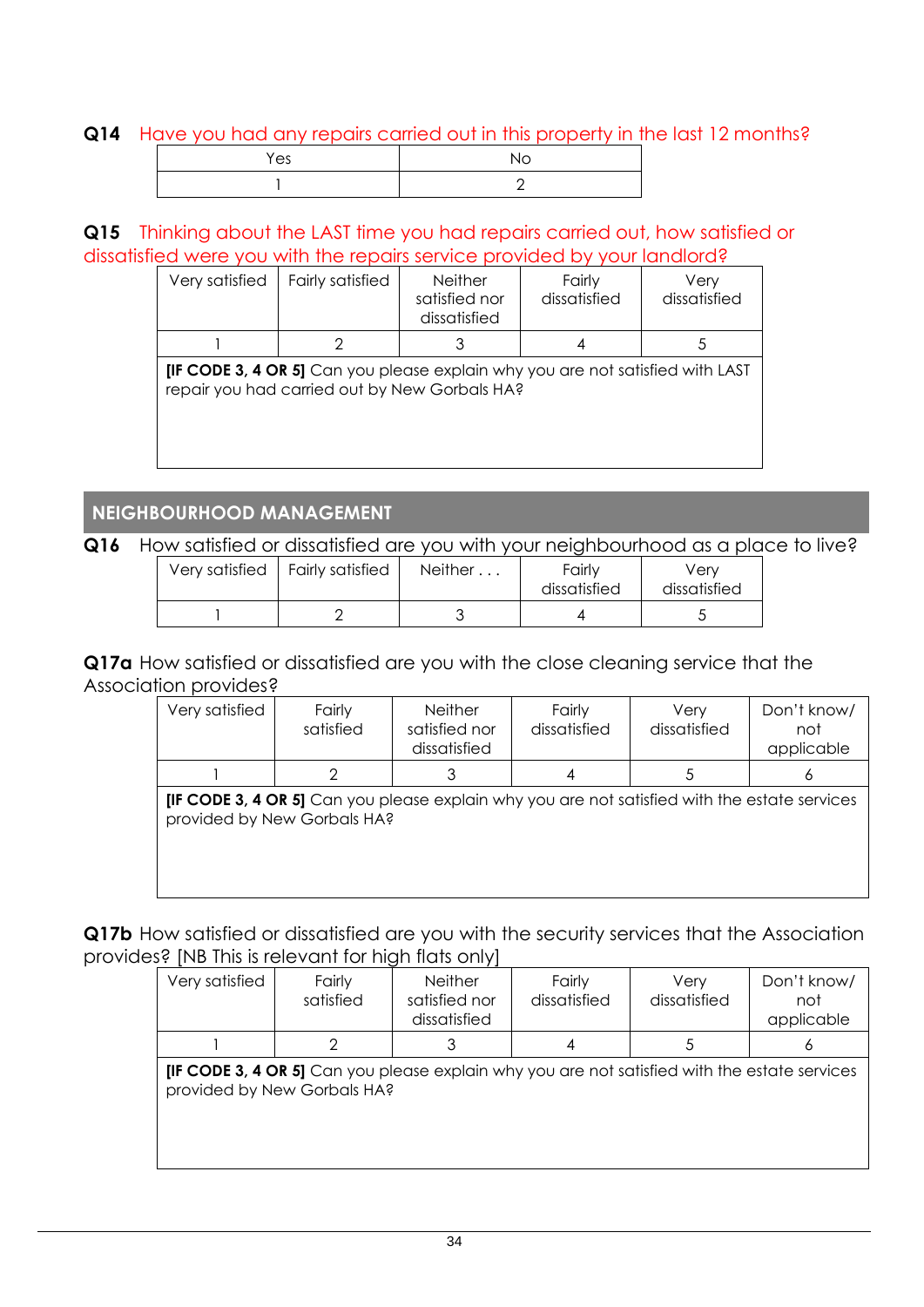#### **Q14** Have you had any repairs carried out in this property in the last 12 months?

| Yes | Nc |
|-----|----|
|     |    |

#### **Q15** Thinking about the LAST time you had repairs carried out, how satisfied or dissatisfied were you with the repairs service provided by your landlord?

| Very satisfied | <b>Fairly satisfied</b>                                                                                                                | <b>Neither</b><br>satisfied nor<br>dissatisfied | Fairly<br>dissatisfied | Very<br>dissatisfied |
|----------------|----------------------------------------------------------------------------------------------------------------------------------------|-------------------------------------------------|------------------------|----------------------|
|                | 2                                                                                                                                      |                                                 | 4                      | 5                    |
|                | <b>IIF CODE 3, 4 OR 5]</b> Can you please explain why you are not satisfied with LAST<br>repair you had carried out by New Gorbals HA? |                                                 |                        |                      |

#### **NEIGHBOURHOOD MANAGEMENT**

#### **Q16** How satisfied or dissatisfied are you with your neighbourhood as a place to live?

|  | Very satisfied   Fairly satisfied | Neither | Fairly<br>dissatisfied | Verv<br>dissatisfied |  |
|--|-----------------------------------|---------|------------------------|----------------------|--|
|  |                                   |         |                        |                      |  |

**Q17a** How satisfied or dissatisfied are you with the close cleaning service that the Association provides?

| Very satisfied                                                                                                                     | Fairly<br>satisfied | <b>Neither</b><br>satisfied nor<br>dissatisfied | Fairly<br>dissatisfied | Very<br>dissatisfied | Don't know/<br>not<br>applicable |
|------------------------------------------------------------------------------------------------------------------------------------|---------------------|-------------------------------------------------|------------------------|----------------------|----------------------------------|
|                                                                                                                                    |                     |                                                 |                        |                      |                                  |
| <b>IF CODE 3, 4 OR 5]</b> Can you please explain why you are not satisfied with the estate services<br>provided by New Gorbals HA? |                     |                                                 |                        |                      |                                  |

**Q17b** How satisfied or dissatisfied are you with the security services that the Association provides? [NB This is relevant for high flats only]

| Very satisfied                                                                                                                     | Fairly<br>satisfied | <b>Neither</b><br>satisfied nor<br>dissatisfied | Fairly<br>dissatisfied | Verv<br>dissatisfied | Don't know/<br>not<br>applicable |
|------------------------------------------------------------------------------------------------------------------------------------|---------------------|-------------------------------------------------|------------------------|----------------------|----------------------------------|
|                                                                                                                                    |                     |                                                 |                        |                      | O                                |
| <b>IF CODE 3, 4 OR 5]</b> Can you please explain why you are not satisfied with the estate services<br>provided by New Gorbals HA? |                     |                                                 |                        |                      |                                  |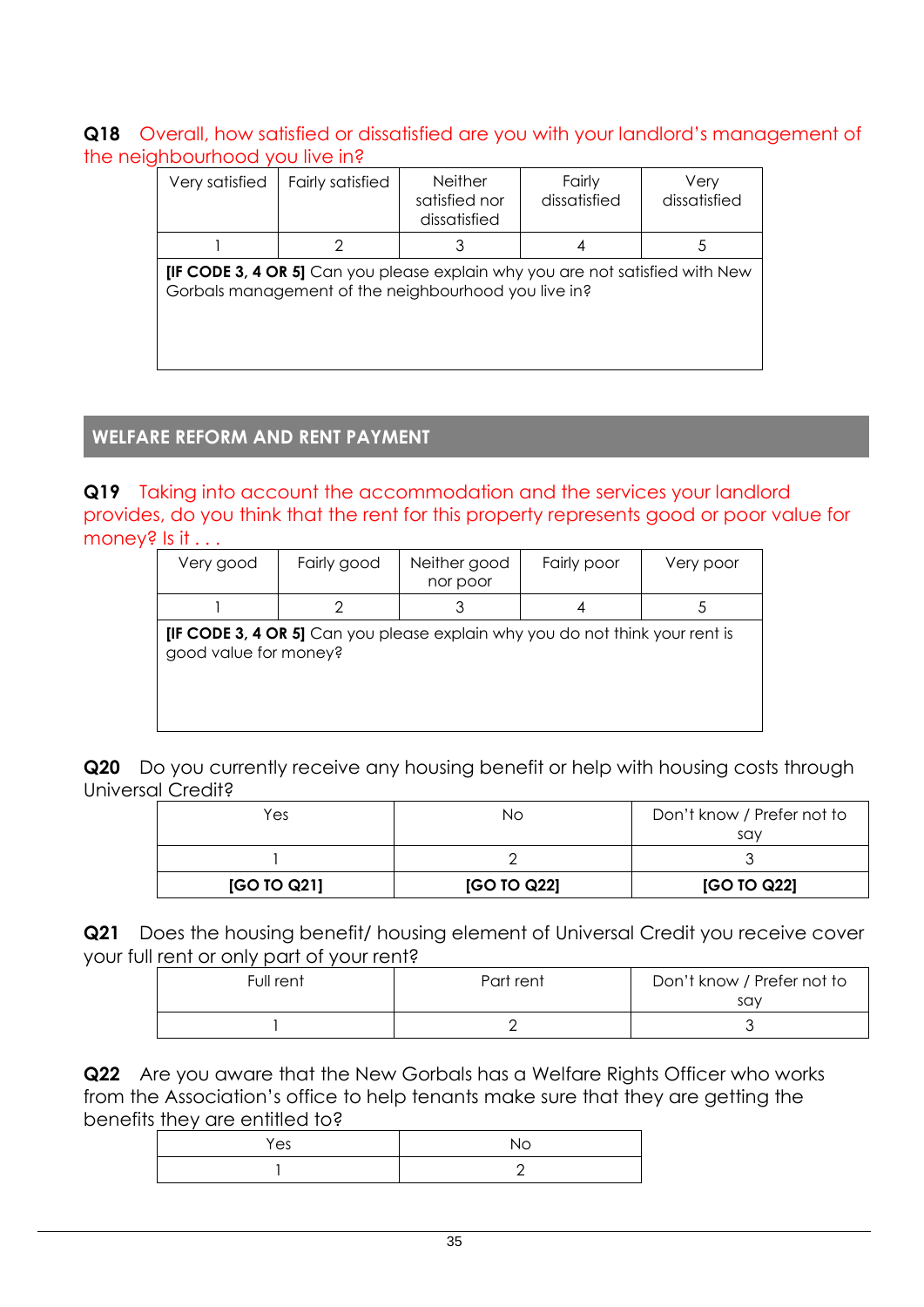#### **Q18** Overall, how satisfied or dissatisfied are you with your landlord's management of the neighbourhood you live in?

| Very satisfied                                                                                                                               | <b>Fairly satisfied</b> | <b>Neither</b><br>satisfied nor<br>dissatisfied | Fairly<br>dissatisfied | Very<br>dissatisfied |
|----------------------------------------------------------------------------------------------------------------------------------------------|-------------------------|-------------------------------------------------|------------------------|----------------------|
|                                                                                                                                              | 2                       | 3                                               | 4                      | 5                    |
| <b>IIF CODE 3, 4 OR 5]</b> Can you please explain why you are not satisfied with New<br>Gorbals management of the neighbourhood you live in? |                         |                                                 |                        |                      |

#### **WELFARE REFORM AND RENT PAYMENT**

**Q19** Taking into account the accommodation and the services your landlord provides, do you think that the rent for this property represents good or poor value for money? Is it . . .

| Very good             | Fairly good | Neither good<br>nor poor                                                            | Fairly poor | Very poor |
|-----------------------|-------------|-------------------------------------------------------------------------------------|-------------|-----------|
|                       |             |                                                                                     |             |           |
| good value for money? |             | <b>IIF CODE 3, 4 OR 5]</b> Can you please explain why you do not think your rent is |             |           |

**Q20** Do you currently receive any housing benefit or help with housing costs through Universal Credit?

| Yes         | NΟ          | Don't know / Prefer not to<br>say |
|-------------|-------------|-----------------------------------|
|             |             |                                   |
| [GO TO Q21] | [GO TO Q22] | [GO TO Q22]                       |

**Q21** Does the housing benefit/ housing element of Universal Credit you receive cover your full rent or only part of your rent?

| Full rent | Part rent | Don't know / Prefer not to<br>say |
|-----------|-----------|-----------------------------------|
|           |           |                                   |

**Q22** Are you aware that the New Gorbals has a Welfare Rights Officer who works from the Association's office to help tenants make sure that they are getting the benefits they are entitled to?

| Yes | No |
|-----|----|
|     | –  |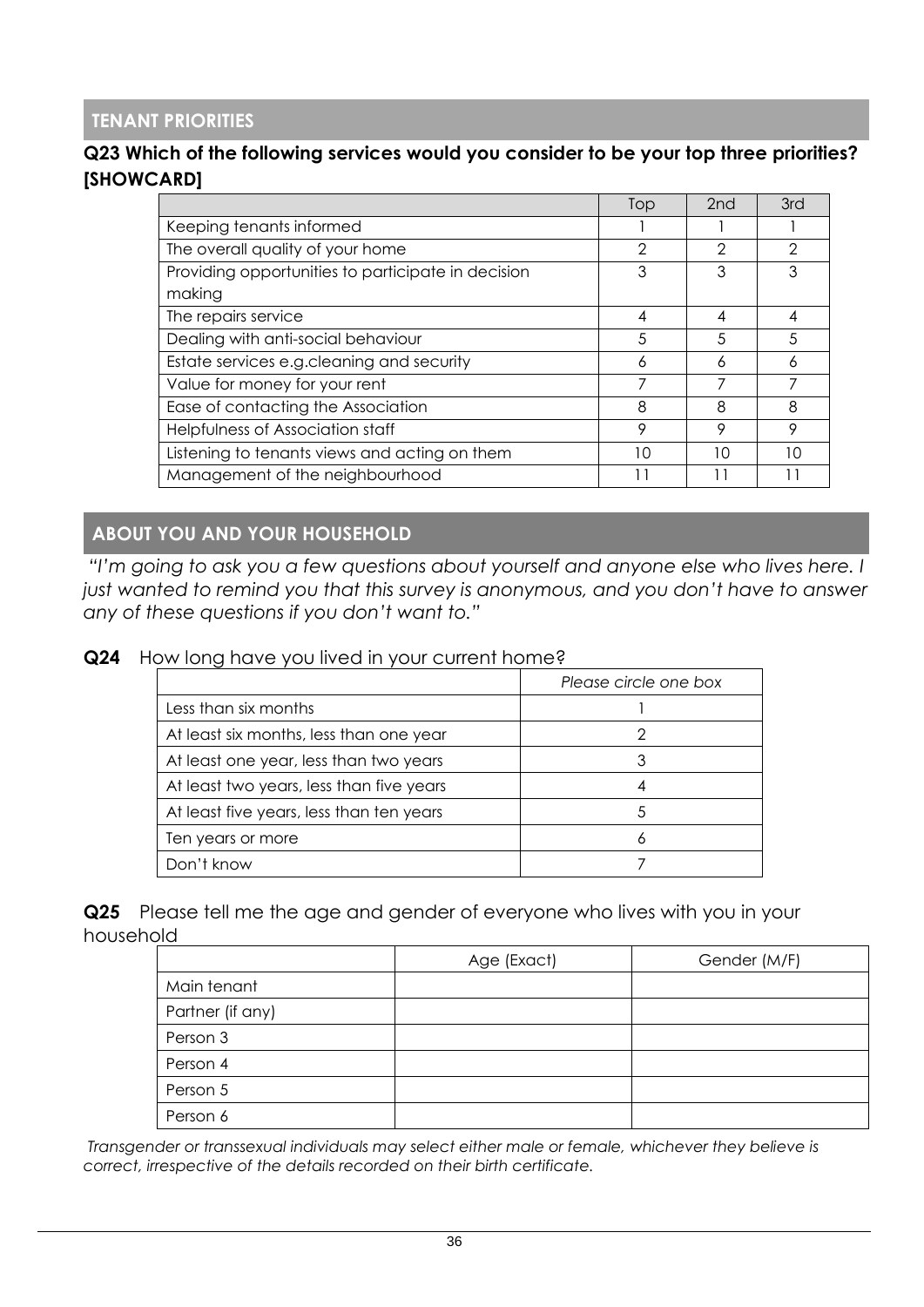#### **TENANT PRIORITIES**

#### **Q23 Which of the following services would you consider to be your top three priorities? [SHOWCARD]**

|                                                    | Top | 2 <sub>nd</sub> | 3rd |
|----------------------------------------------------|-----|-----------------|-----|
| Keeping tenants informed                           |     |                 |     |
| The overall quality of your home                   | 2   | っ               | ◠   |
| Providing opportunities to participate in decision | 3   | 3               |     |
| making                                             |     |                 |     |
| The repairs service                                | 4   | 4               |     |
| Dealing with anti-social behaviour                 | 5   | 5               | 5   |
| Estate services e.g.cleaning and security          | 6   | 6               | Α   |
| Value for money for your rent                      |     |                 |     |
| Ease of contacting the Association                 | 8   | 8               | 8   |
| Helpfulness of Association staff                   | 9   | 9               | 9   |
| Listening to tenants views and acting on them      | 10  | 10              | 10  |
| Management of the neighbourhood                    |     |                 |     |

#### **ABOUT YOU AND YOUR HOUSEHOLD**

*"I'm going to ask you a few questions about yourself and anyone else who lives here. I*  just wanted to remind you that this survey is anonymous, and you don't have to answer *any of these questions if you don't want to."*

#### **Q24** How long have you lived in your current home?

|                                          | Please circle one box |
|------------------------------------------|-----------------------|
| Less than six months                     |                       |
| At least six months, less than one year  |                       |
| At least one year, less than two years   | 3                     |
| At least two years, less than five years |                       |
| At least five years, less than ten years | 5                     |
| Ten years or more                        |                       |
| Don't know                               |                       |

**Q25** Please tell me the age and gender of everyone who lives with you in your household

|                  | Age (Exact) | Gender (M/F) |
|------------------|-------------|--------------|
| Main tenant      |             |              |
| Partner (if any) |             |              |
| Person 3         |             |              |
| Person 4         |             |              |
| Person 5         |             |              |
| Person 6         |             |              |

*Transgender or transsexual individuals may select either male or female, whichever they believe is correct, irrespective of the details recorded on their birth certificate.*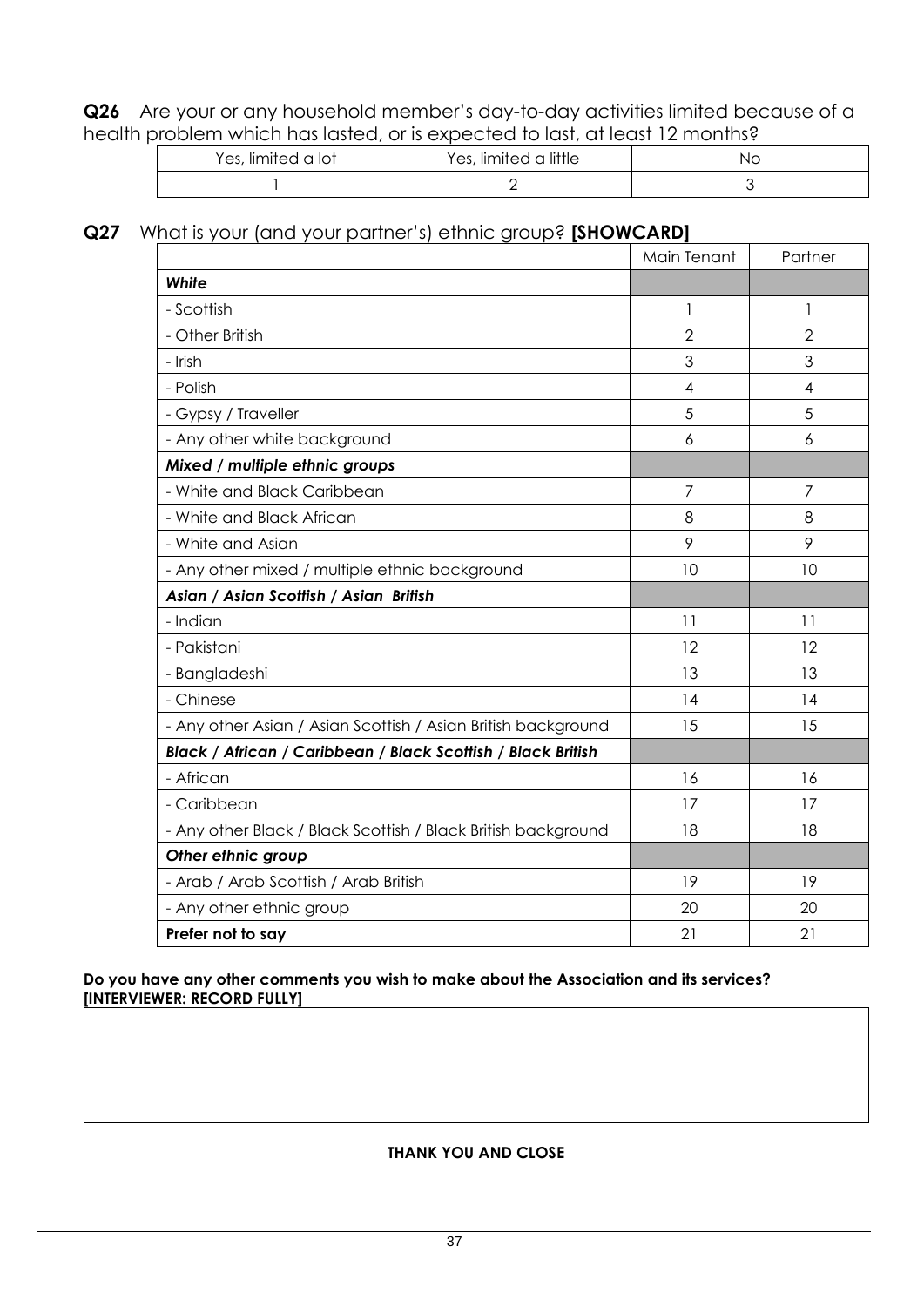**Q26** Are your or any household member's day-to-day activities limited because of a health problem which has lasted, or is expected to last, at least 12 months?

| Yes, limited a lot | Yes, limited a little | NC. |
|--------------------|-----------------------|-----|
|                    |                       |     |

#### **Q27** What is your (and your partner's) ethnic group? **[SHOWCARD]**

|                                                               | Main Tenant    | Partner        |
|---------------------------------------------------------------|----------------|----------------|
| White                                                         |                |                |
| - Scottish                                                    | 1              | 1              |
| - Other British                                               | $\overline{2}$ | $\overline{2}$ |
| - Irish                                                       | 3              | 3              |
| - Polish                                                      | $\overline{4}$ | $\overline{4}$ |
| - Gypsy / Traveller                                           | 5              | 5              |
| - Any other white background                                  | 6              | 6              |
| Mixed / multiple ethnic groups                                |                |                |
| - White and Black Caribbean                                   | $\overline{7}$ | 7              |
| - White and Black African                                     | 8              | 8              |
| - White and Asian                                             | 9              | 9              |
| - Any other mixed / multiple ethnic background                | 10             | 10             |
| Asian / Asian Scottish / Asian British                        |                |                |
| - Indian                                                      | 11             | 11             |
| - Pakistani                                                   | 12             | 12             |
| - Bangladeshi                                                 | 13             | 13             |
| - Chinese                                                     | 14             | 14             |
| - Any other Asian / Asian Scottish / Asian British background | 15             | 15             |
| Black / African / Caribbean / Black Scottish / Black British  |                |                |
| - African                                                     | 16             | 16             |
| - Caribbean                                                   | 17             | 17             |
| - Any other Black / Black Scottish / Black British background | 18             | 18             |
| Other ethnic group                                            |                |                |
| - Arab / Arab Scottish / Arab British                         | 19             | 19             |
| - Any other ethnic group                                      | 20             | 20             |
| Prefer not to say                                             | 21             | 21             |

#### **Do you have any other comments you wish to make about the Association and its services? [INTERVIEWER: RECORD FULLY]**

#### **THANK YOU AND CLOSE**